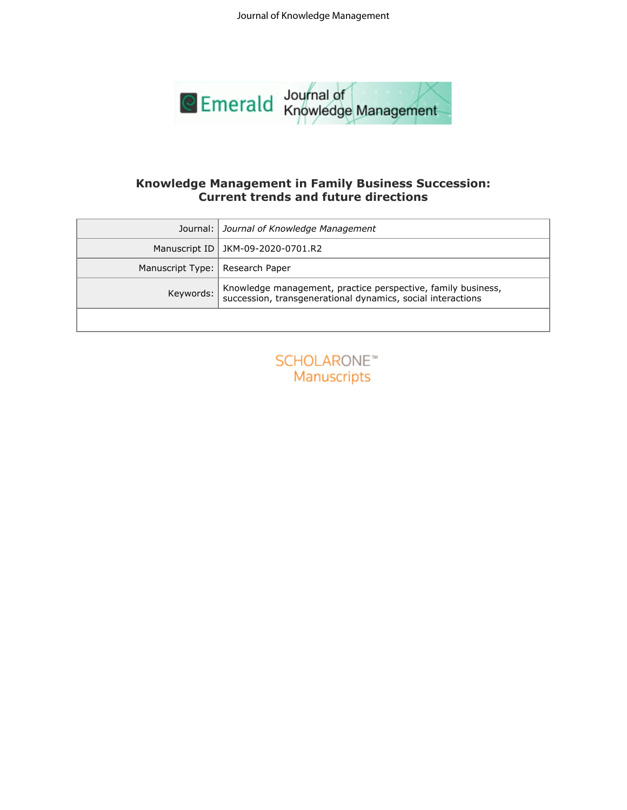Journal of Knowledge Management



# **Current trends and future directions**

| Emerald Knowledge Management |                                                                                                                             |  |  |  |  |
|------------------------------|-----------------------------------------------------------------------------------------------------------------------------|--|--|--|--|
|                              |                                                                                                                             |  |  |  |  |
|                              |                                                                                                                             |  |  |  |  |
|                              | <b>Knowledge Management in Family Business Succession:</b><br><b>Current trends and future directions</b>                   |  |  |  |  |
|                              |                                                                                                                             |  |  |  |  |
| Journal:                     | Journal of Knowledge Management                                                                                             |  |  |  |  |
| Manuscript ID                | JKM-09-2020-0701.R2                                                                                                         |  |  |  |  |
| Manuscript Type:             | Research Paper                                                                                                              |  |  |  |  |
| Keywords:                    | Knowledge management, practice perspective, family business,<br>succession, transgenerational dynamics, social interactions |  |  |  |  |
|                              |                                                                                                                             |  |  |  |  |
|                              |                                                                                                                             |  |  |  |  |
|                              | <b>SCHOLARONE™</b>                                                                                                          |  |  |  |  |
|                              | Manuscripts                                                                                                                 |  |  |  |  |
|                              |                                                                                                                             |  |  |  |  |
|                              |                                                                                                                             |  |  |  |  |
|                              |                                                                                                                             |  |  |  |  |
|                              |                                                                                                                             |  |  |  |  |
|                              |                                                                                                                             |  |  |  |  |
|                              |                                                                                                                             |  |  |  |  |
|                              |                                                                                                                             |  |  |  |  |
|                              |                                                                                                                             |  |  |  |  |
|                              |                                                                                                                             |  |  |  |  |
|                              |                                                                                                                             |  |  |  |  |
|                              |                                                                                                                             |  |  |  |  |
|                              |                                                                                                                             |  |  |  |  |
|                              |                                                                                                                             |  |  |  |  |
|                              |                                                                                                                             |  |  |  |  |
|                              |                                                                                                                             |  |  |  |  |
|                              |                                                                                                                             |  |  |  |  |

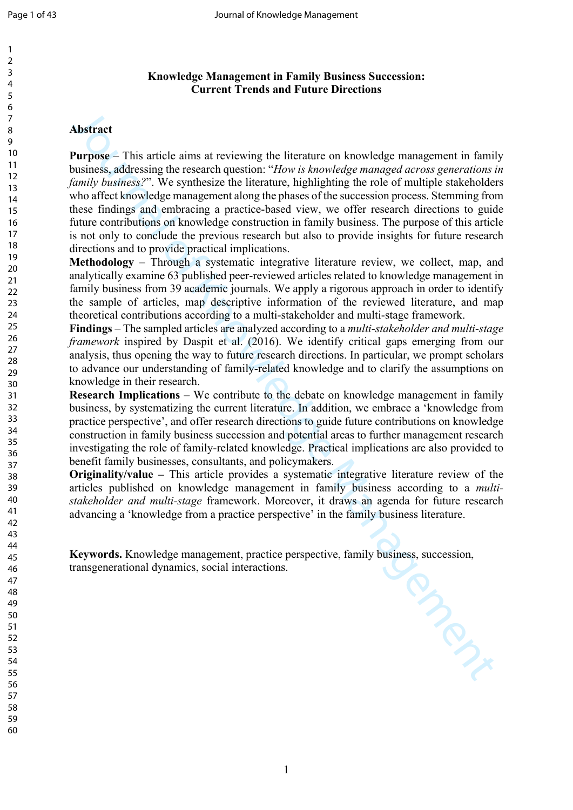#### 

 

# **Knowledge Management in Family Business Succession: Current Trends and Future Directions**

# **Abstract**

**Abstract**<br>**Abstract**<br>**Abstract**<br>**Purpose** – This article aims at reviewing the literature on knowledge management in family<br>business, sindtreasing the research question: "How is heredofog managed arrows generations<br>formi **Purpose** – This article aims at reviewing the literature on knowledge management in family business, addressing the research question: "*How is knowledge managed across generations in family business?*". We synthesize the literature, highlighting the role of multiple stakeholders who affect knowledge management along the phases of the succession process. Stemming from these findings and embracing a practice-based view, we offer research directions to guide future contributions on knowledge construction in family business. The purpose of this article is not only to conclude the previous research but also to provide insights for future research directions and to provide practical implications.

**Methodology** – Through a systematic integrative literature review, we collect, map, and analytically examine 63 published peer-reviewed articles related to knowledge management in family business from 39 academic journals. We apply a rigorous approach in order to identify the sample of articles, map descriptive information of the reviewed literature, and map theoretical contributions according to a multi-stakeholder and multi-stage framework.

**Findings** – The sampled articles are analyzed according to a *multi-stakeholder and multi-stage framework* inspired by Daspit et al. (2016). We identify critical gaps emerging from our analysis, thus opening the way to future research directions. In particular, we prompt scholars to advance our understanding of family-related knowledge and to clarify the assumptions on knowledge in their research.

**Research Implications** – We contribute to the debate on knowledge management in family business, by systematizing the current literature. In addition, we embrace a 'knowledge from practice perspective', and offer research directions to guide future contributions on knowledge construction in family business succession and potential areas to further management research investigating the role of family-related knowledge. Practical implications are also provided to benefit family businesses, consultants, and policymakers.

**Originality/value –** This article provides a systematic integrative literature review of the articles published on knowledge management in family business according to a *multistakeholder and multi-stage* framework. Moreover, it draws an agenda for future research advancing a 'knowledge from a practice perspective' in the family business literature.

**Keywords.** Knowledge management, practice perspective, family business, succession, transgenerational dynamics, social interactions. transgenerational dynamics, social interactions.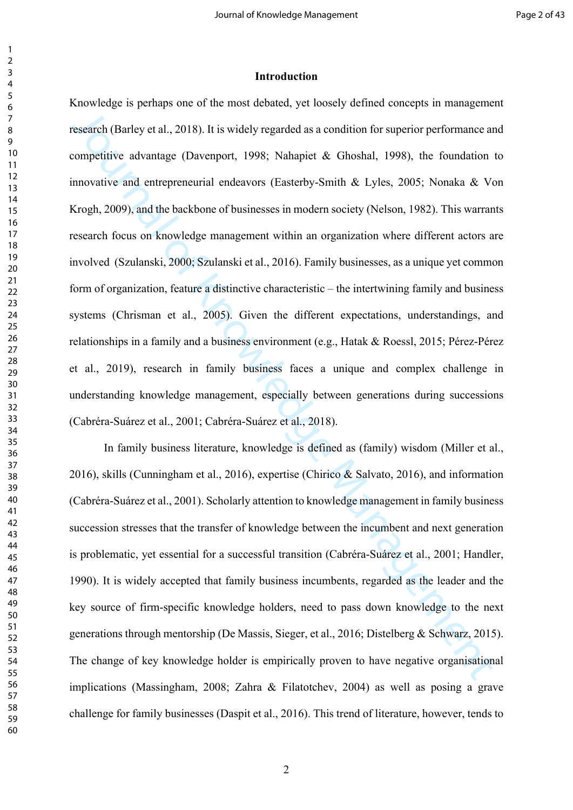#### **Introduction**

esearch (Barley et al., 2018). It is widely regarded as a condition for superior performance an<br>competitive advantage (Deverport, 1998; Nahapiet & Ghoshal, 1998), the foundation<br>monocitive and entrepreneurial endeavors (Ea Knowledge is perhaps one of the most debated, yet loosely defined concepts in management research (Barley et al., 2018). It is widely regarded as a condition for superior performance and competitive advantage (Davenport, 1998; Nahapiet & Ghoshal, 1998), the foundation to innovative and entrepreneurial endeavors (Easterby-Smith & Lyles, 2005; Nonaka & Von Krogh, 2009), and the backbone of businesses in modern society (Nelson, 1982). This warrants research focus on knowledge management within an organization where different actors are involved (Szulanski, 2000; Szulanski et al., 2016). Family businesses, as a unique yet common form of organization, feature a distinctive characteristic – the intertwining family and business systems (Chrisman et al., 2005). Given the different expectations, understandings, and relationships in a family and a business environment (e.g., Hatak & Roessl, 2015; Pérez-Pérez et al., 2019), research in family business faces a unique and complex challenge in understanding knowledge management, especially between generations during successions (Cabréra-Suárez et al., 2001; Cabréra-Suárez et al., 2018).

In family business literature, knowledge is defined as (family) wisdom (Miller et al., 2016), skills (Cunningham et al., 2016), expertise (Chirico & Salvato, 2016), and information (Cabréra-Suárez et al., 2001). Scholarly attention to knowledge management in family business succession stresses that the transfer of knowledge between the incumbent and next generation is problematic, yet essential for a successful transition (Cabréra-Suárez et al., 2001; Handler, 1990). It is widely accepted that family business incumbents, regarded as the leader and the key source of firm-specific knowledge holders, need to pass down knowledge to the next generations through mentorship (De Massis, Sieger, et al., 2016; Distelberg & Schwarz, 2015). The change of key knowledge holder is empirically proven to have negative organisational implications (Massingham, 2008; Zahra & Filatotchev, 2004) as well as posing a grave challenge for family businesses (Daspit et al., 2016). This trend of literature, however, tends to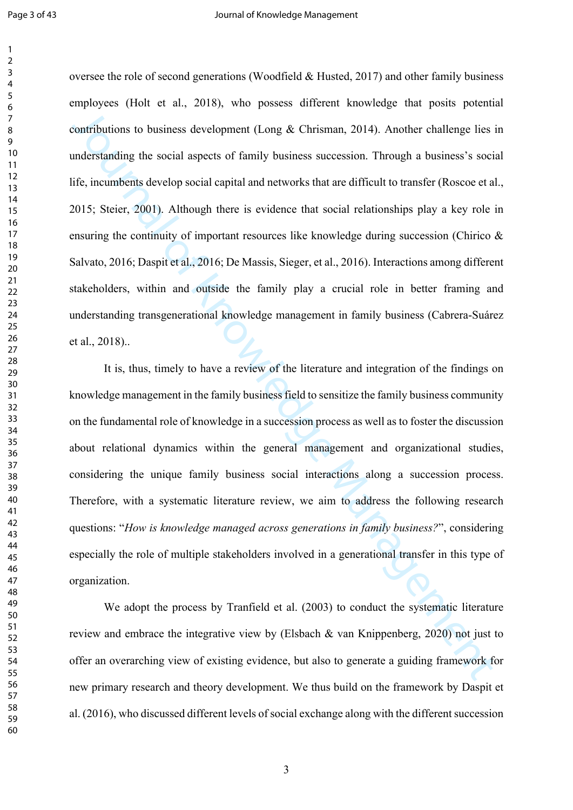ionatibutions to business development (I ang & Chrisman, 2014). Another challenge lies innderstanding the social aspects of family business succession. Through a business's social<br>the inderstanding the social aspects of fa oversee the role of second generations (Woodfield & Husted, 2017) and other family business employees (Holt et al., 2018), who possess different knowledge that posits potential contributions to business development (Long & Chrisman, 2014). Another challenge lies in understanding the social aspects of family business succession. Through a business's social life, incumbents develop social capital and networks that are difficult to transfer (Roscoe et al., 2015; Steier, 2001). Although there is evidence that social relationships play a key role in ensuring the continuity of important resources like knowledge during succession (Chirico  $\&$ Salvato, 2016; Daspit et al., 2016; De Massis, Sieger, et al., 2016). Interactions among different stakeholders, within and outside the family play a crucial role in better framing and understanding transgenerational knowledge management in family business (Cabrera-Suárez et al., 2018)..

It is, thus, timely to have a review of the literature and integration of the findings on knowledge management in the family business field to sensitize the family business community on the fundamental role of knowledge in a succession process as well as to foster the discussion about relational dynamics within the general management and organizational studies, considering the unique family business social interactions along a succession process. Therefore, with a systematic literature review, we aim to address the following research questions: "*How is knowledge managed across generations in family business?*", considering especially the role of multiple stakeholders involved in a generational transfer in this type of organization.

We adopt the process by Tranfield et al. (2003) to conduct the systematic literature review and embrace the integrative view by (Elsbach & van Knippenberg, 2020) not just to offer an overarching view of existing evidence, but also to generate a guiding framework for new primary research and theory development. We thus build on the framework by Daspit et al. (2016), who discussed different levels of social exchange along with the different succession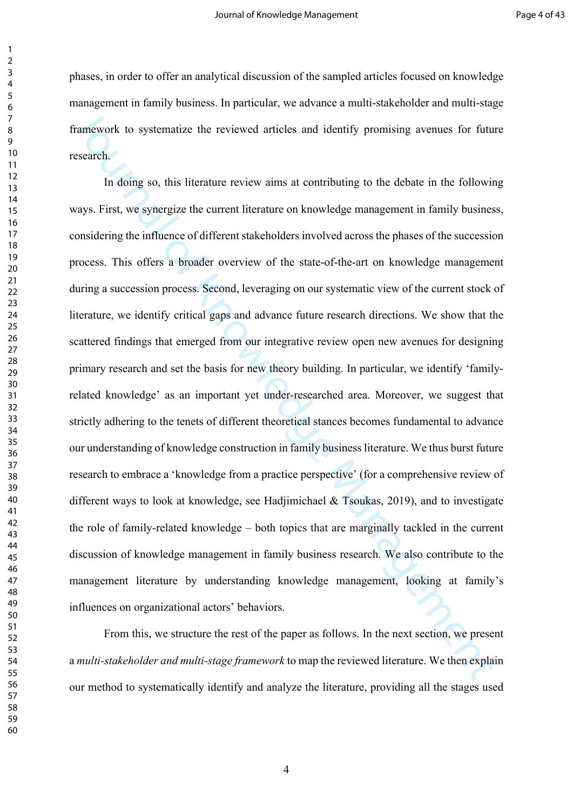phases, in order to offer an analytical discussion of the sampled articles focused on knowledge management in family business. In particular, we advance a multi-stakeholder and multi-stage framework to systematize the reviewed articles and identify promising avenues for future research.

Transvork to systematize the reviewed articles and identify promising avenues for futures<br>are transvork to systematize the reviewed articles and identify promising avenues for future<br>sesench.<br>In doing so, this linearure re In doing so, this literature review aims at contributing to the debate in the following ways. First, we synergize the current literature on knowledge management in family business, considering the influence of different stakeholders involved across the phases of the succession process. This offers a broader overview of the state-of-the-art on knowledge management during a succession process. Second, leveraging on our systematic view of the current stock of literature, we identify critical gaps and advance future research directions. We show that the scattered findings that emerged from our integrative review open new avenues for designing primary research and set the basis for new theory building. In particular, we identify 'familyrelated knowledge' as an important yet under-researched area. Moreover, we suggest that strictly adhering to the tenets of different theoretical stances becomes fundamental to advance our understanding of knowledge construction in family business literature. We thus burst future research to embrace a 'knowledge from a practice perspective' (for a comprehensive review of different ways to look at knowledge, see Hadjimichael  $\&$  Tsoukas, 2019), and to investigate the role of family-related knowledge – both topics that are marginally tackled in the current discussion of knowledge management in family business research. We also contribute to the management literature by understanding knowledge management, looking at family's influences on organizational actors' behaviors.

From this, we structure the rest of the paper as follows. In the next section, we present a *multi-stakeholder and multi-stage framework* to map the reviewed literature. We then explain our method to systematically identify and analyze the literature, providing all the stages used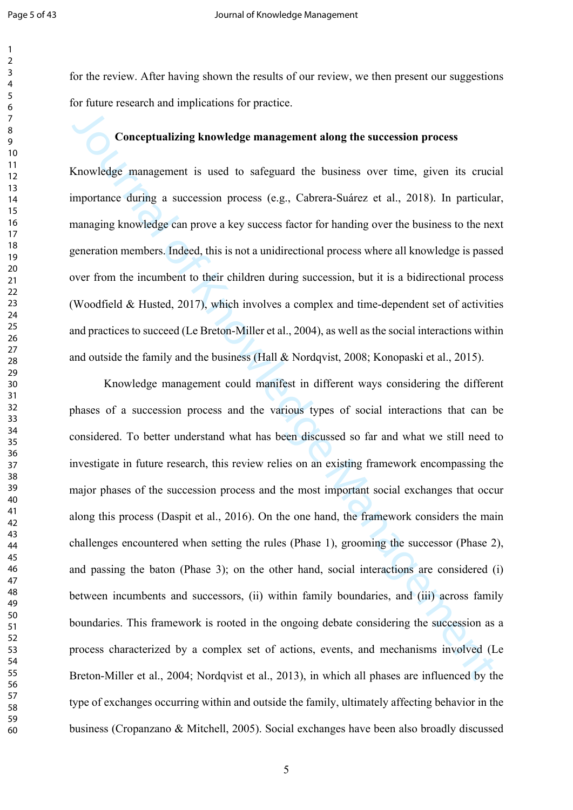for the review. After having shown the results of our review, we then present our suggestions for future research and implications for practice.

# **Conceptualizing knowledge management along the succession process**

Knowledge management is used to safeguard the business over time, given its crucial importance during a succession process (e.g., Cabrera-Suárez et al., 2018). In particular, managing knowledge can prove a key success factor for handing over the business to the next generation members. Indeed, this is not a unidirectional process where all knowledge is passed over from the incumbent to their children during succession, but it is a bidirectional process (Woodfield & Husted, 2017), which involves a complex and time-dependent set of activities and practices to succeed (Le Breton-Miller et al., 2004), as well as the social interactions within and outside the family and the business (Hall & Nordqvist, 2008; Konopaski et al., 2015).

Conceptual bing knowledge management along the succession process<br>Knowledge management is used to safeguard the business over time, given its ernein<br>moratance during a succession process (e.g., Cabrera-Suárez et al., 2018) Knowledge management could manifest in different ways considering the different phases of a succession process and the various types of social interactions that can be considered. To better understand what has been discussed so far and what we still need to investigate in future research, this review relies on an existing framework encompassing the major phases of the succession process and the most important social exchanges that occur along this process (Daspit et al., 2016). On the one hand, the framework considers the main challenges encountered when setting the rules (Phase 1), grooming the successor (Phase 2), and passing the baton (Phase 3); on the other hand, social interactions are considered (i) between incumbents and successors, (ii) within family boundaries, and (iii) across family boundaries. This framework is rooted in the ongoing debate considering the succession as a process characterized by a complex set of actions, events, and mechanisms involved (Le Breton-Miller et al., 2004; Nordqvist et al., 2013), in which all phases are influenced by the type of exchanges occurring within and outside the family, ultimately affecting behavior in the business (Cropanzano & Mitchell, 2005). Social exchanges have been also broadly discussed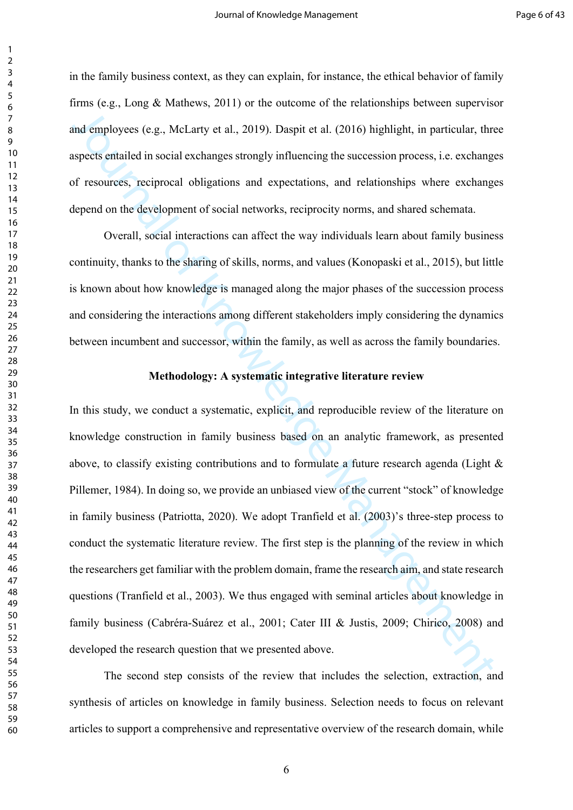in the family business context, as they can explain, for instance, the ethical behavior of family firms (e.g., Long & Mathews, 2011) or the outcome of the relationships between supervisor and employees (e.g., McLarty et al., 2019). Daspit et al. (2016) highlight, in particular, three aspects entailed in social exchanges strongly influencing the succession process, i.e. exchanges of resources, reciprocal obligations and expectations, and relationships where exchanges depend on the development of social networks, reciprocity norms, and shared schemata.

Overall, social interactions can affect the way individuals learn about family business continuity, thanks to the sharing of skills, norms, and values (Konopaski et al., 2015), but little is known about how knowledge is managed along the major phases of the succession process and considering the interactions among different stakeholders imply considering the dynamics between incumbent and successor, within the family, as well as across the family boundaries.

#### **Methodology: A systematic integrative literature review**

and employees (e.g., McI arty et al., 2019). Daspit et al. (2016) highlight, in particular, the<br>supers statisted in social exchanges strongly influencing the succession process, i.e. exchanges<br>of resources, reciprocal obl In this study, we conduct a systematic, explicit, and reproducible review of the literature on knowledge construction in family business based on an analytic framework, as presented above, to classify existing contributions and to formulate a future research agenda (Light & Pillemer, 1984). In doing so, we provide an unbiased view of the current "stock" of knowledge in family business (Patriotta, 2020). We adopt Tranfield et al. (2003)'s three-step process to conduct the systematic literature review. The first step is the planning of the review in which the researchers get familiar with the problem domain, frame the research aim, and state research questions (Tranfield et al., 2003). We thus engaged with seminal articles about knowledge in family business (Cabréra-Suárez et al., 2001; Cater III & Justis, 2009; Chirico, 2008) and developed the research question that we presented above.

The second step consists of the review that includes the selection, extraction, and synthesis of articles on knowledge in family business. Selection needs to focus on relevant articles to support a comprehensive and representative overview of the research domain, while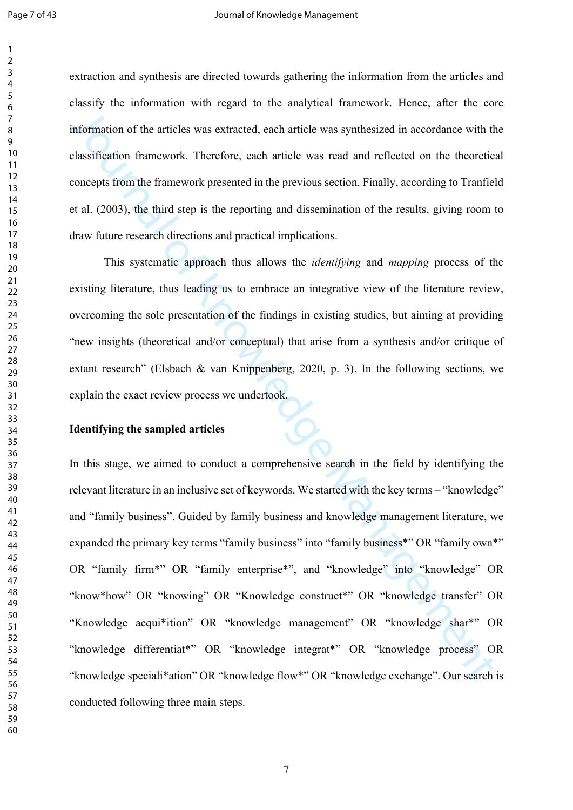extraction and synthesis are directed towards gathering the information from the articles and classify the information with regard to the analytical framework. Hence, after the core information of the articles was extracted, each article was synthesized in accordance with the classification framework. Therefore, each article was read and reflected on the theoretical concepts from the framework presented in the previous section. Finally, according to Tranfield et al. (2003), the third step is the reporting and dissemination of the results, giving room to draw future research directions and practical implications.

This systematic approach thus allows the *identifying* and *mapping* process of the existing literature, thus leading us to embrace an integrative view of the literature review, overcoming the sole presentation of the findings in existing studies, but aiming at providing "new insights (theoretical and/or conceptual) that arise from a synthesis and/or critique of extant research" (Elsbach & van Knippenberg, 2020, p. 3). In the following sections, we explain the exact review process we undertook.

#### **Identifying the sampled articles**

mformation of the articles was extracted, each article was synthesized in accordance with the<br>lassification framework. Therefore, each article was read and reflected on the theoretic<br>concepts from the framework presented In this stage, we aimed to conduct a comprehensive search in the field by identifying the relevant literature in an inclusive set of keywords. We started with the key terms – "knowledge" and "family business". Guided by family business and knowledge management literature, we expanded the primary key terms "family business" into "family business\*" OR "family own\*" OR "family firm\*" OR "family enterprise\*", and "knowledge" into "knowledge" OR "know\*how" OR "knowing" OR "Knowledge construct\*" OR "knowledge transfer" OR "Knowledge acqui\*ition" OR "knowledge management" OR "knowledge shar\*" OR "knowledge differentiat\*" OR "knowledge integrat\*" OR "knowledge process" OR "knowledge speciali\*ation" OR "knowledge flow\*" OR "knowledge exchange". Our search is conducted following three main steps.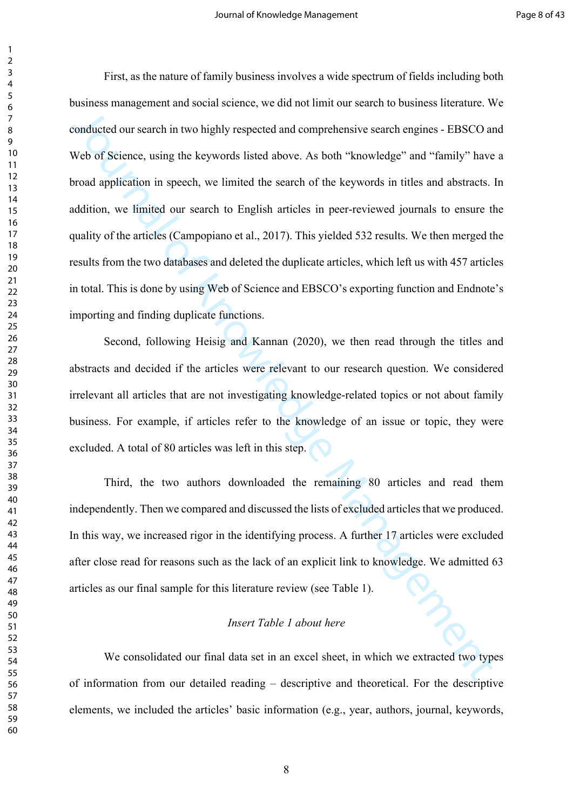conducted our search in two highly respected and comprehensive search engines - FIBSCO an<br>Web of Science, using the keywords listed above. As both "knowledge" and "fumily" have<br>oroad application in speech, we limited the s First, as the nature of family business involves a wide spectrum of fields including both business management and social science, we did not limit our search to business literature. We conducted our search in two highly respected and comprehensive search engines - EBSCO and Web of Science, using the keywords listed above. As both "knowledge" and "family" have a broad application in speech, we limited the search of the keywords in titles and abstracts. In addition, we limited our search to English articles in peer-reviewed journals to ensure the quality of the articles (Campopiano et al., 2017). This yielded 532 results. We then merged the results from the two databases and deleted the duplicate articles, which left us with 457 articles in total. This is done by using Web of Science and EBSCO's exporting function and Endnote's importing and finding duplicate functions.

Second, following Heisig and Kannan (2020), we then read through the titles and abstracts and decided if the articles were relevant to our research question. We considered irrelevant all articles that are not investigating knowledge-related topics or not about family business. For example, if articles refer to the knowledge of an issue or topic, they were excluded. A total of 80 articles was left in this step.

Third, the two authors downloaded the remaining 80 articles and read them independently. Then we compared and discussed the lists of excluded articles that we produced. In this way, we increased rigor in the identifying process. A further 17 articles were excluded after close read for reasons such as the lack of an explicit link to knowledge. We admitted 63 articles as our final sample for this literature review (see Table 1).

#### *Insert Table 1 about here*

We consolidated our final data set in an excel sheet, in which we extracted two types of information from our detailed reading – descriptive and theoretical. For the descriptive elements, we included the articles' basic information (e.g., year, authors, journal, keywords,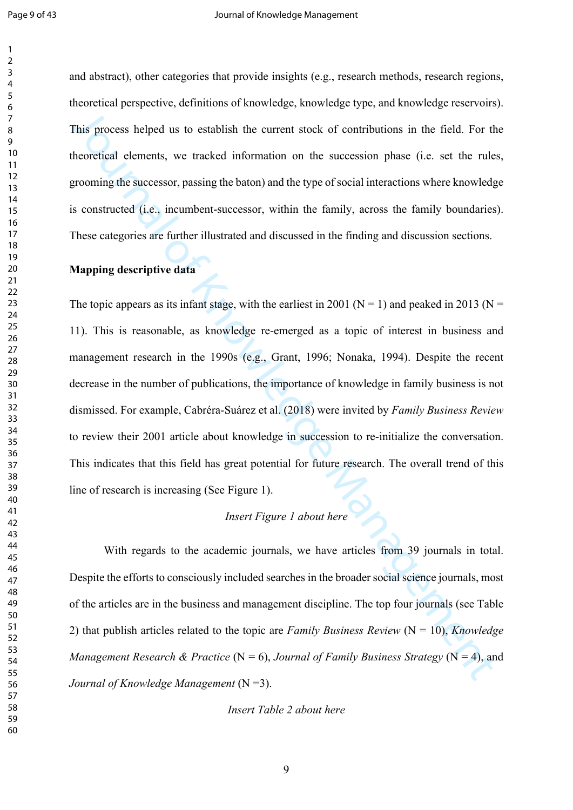and abstract), other categories that provide insights (e.g., research methods, research regions, theoretical perspective, definitions of knowledge, knowledge type, and knowledge reservoirs). This process helped us to establish the current stock of contributions in the field. For the theoretical elements, we tracked information on the succession phase (i.e. set the rules, grooming the successor, passing the baton) and the type of social interactions where knowledge is constructed (i.e., incumbent-successor, within the family, across the family boundaries). These categories are further illustrated and discussed in the finding and discussion sections.

# **Mapping descriptive data**

This process helped us to establish the current stock of contributions in the field. For the<br>theoretical elements, we tracked information on the succession phase (i.e. set the rule<br>proming the successor, passing the baton The topic appears as its infant stage, with the earliest in 2001 ( $N = 1$ ) and peaked in 2013 ( $N =$ 11). This is reasonable, as knowledge re-emerged as a topic of interest in business and management research in the 1990s (e.g., Grant, 1996; Nonaka, 1994). Despite the recent decrease in the number of publications, the importance of knowledge in family business is not dismissed. For example, Cabréra-Suárez et al. (2018) were invited by *Family Business Review* to review their 2001 article about knowledge in succession to re-initialize the conversation. This indicates that this field has great potential for future research. The overall trend of this line of research is increasing (See Figure 1).

# *Insert Figure 1 about here*

With regards to the academic journals, we have articles from 39 journals in total. Despite the efforts to consciously included searches in the broader social science journals, most of the articles are in the business and management discipline. The top four journals (see Table 2) that publish articles related to the topic are *Family Business Review* (N = 10), *Knowledge Management Research & Practice* (N = 6), *Journal of Family Business Strategy* (N = 4), and *Journal of Knowledge Management* (N =3).

*Insert Table 2 about here*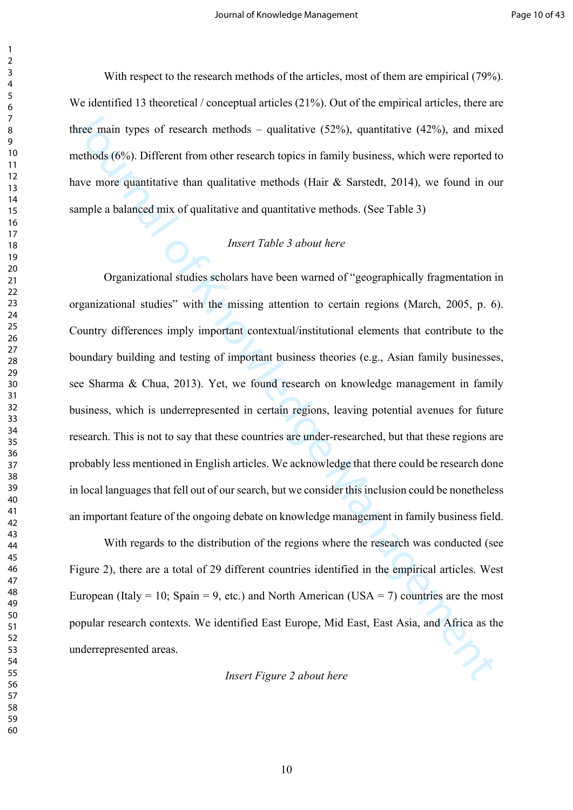With respect to the research methods of the articles, most of them are empirical (79%). We identified 13 theoretical / conceptual articles (21%). Out of the empirical articles, there are three main types of research methods – qualitative  $(52\%)$ , quantitative  $(42\%)$ , and mixed methods (6%). Different from other research topics in family business, which were reported to have more quantitative than qualitative methods (Hair & Sarstedt, 2014), we found in our sample a balanced mix of qualitative and quantitative methods. (See Table 3)

## *Insert Table 3 about here*

three main types of research methods – qualitative (52%), quantitative (42%), and mix-<br>necthods (6%). Different from other research topics in family business, which were reported<br>nave more quantitative from other research Organizational studies scholars have been warned of "geographically fragmentation in organizational studies" with the missing attention to certain regions (March, 2005, p. 6). Country differences imply important contextual/institutional elements that contribute to the boundary building and testing of important business theories (e.g., Asian family businesses, see Sharma & Chua, 2013). Yet, we found research on knowledge management in family business, which is underrepresented in certain regions, leaving potential avenues for future research. This is not to say that these countries are under-researched, but that these regions are probably less mentioned in English articles. We acknowledge that there could be research done in local languages that fell out of our search, but we consider this inclusion could be nonetheless an important feature of the ongoing debate on knowledge management in family business field.

With regards to the distribution of the regions where the research was conducted (see Figure 2), there are a total of 29 different countries identified in the empirical articles. West European (Italy = 10; Spain = 9, etc.) and North American (USA = 7) countries are the most popular research contexts. We identified East Europe, Mid East, East Asia, and Africa as the underrepresented areas.

*Insert Figure 2 about here*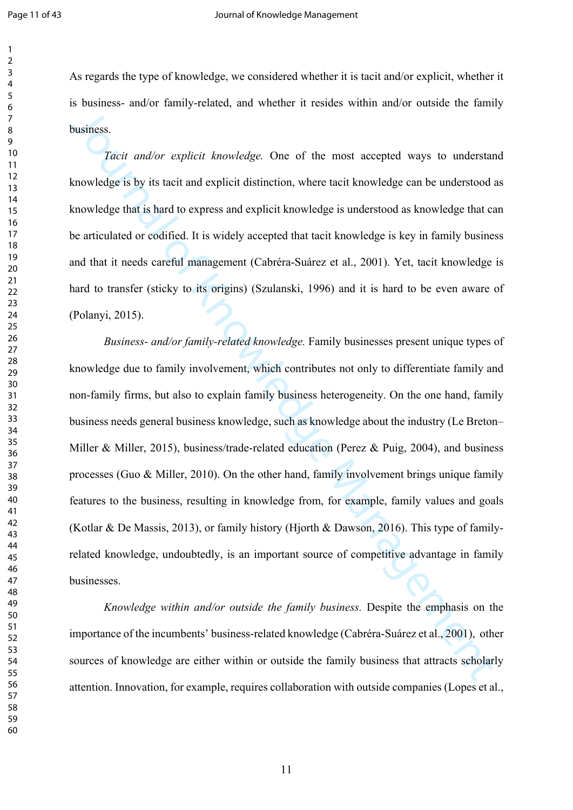As regards the type of knowledge, we considered whether it is tacit and/or explicit, whether it is business- and/or family-related, and whether it resides within and/or outside the family business.

*Tacit and/or explicit knowledge.* One of the most accepted ways to understand knowledge is by its tacit and explicit distinction, where tacit knowledge can be understood as knowledge that is hard to express and explicit knowledge is understood as knowledge that can be articulated or codified. It is widely accepted that tacit knowledge is key in family business and that it needs careful management (Cabréra-Suárez et al., 2001). Yet, tacit knowledge is hard to transfer (sticky to its origins) (Szulanski, 1996) and it is hard to be even aware of (Polanyi, 2015).

**Standard Standard Standard Standard Standard Standard Standard Standard Standard Standard Standard Standard Standard Standard Standard Standard Standard Standard Standard Standard Standard Standard Standard Standard Stand** *Business- and/or family-related knowledge.* Family businesses present unique types of knowledge due to family involvement, which contributes not only to differentiate family and non-family firms, but also to explain family business heterogeneity. On the one hand, family business needs general business knowledge, such as knowledge about the industry (Le Breton– Miller & Miller, 2015), business/trade-related education (Perez & Puig, 2004), and business processes (Guo & Miller, 2010). On the other hand, family involvement brings unique family features to the business, resulting in knowledge from, for example, family values and goals (Kotlar & De Massis, 2013), or family history (Hjorth & Dawson, 2016). This type of familyrelated knowledge, undoubtedly, is an important source of competitive advantage in family businesses.

*Knowledge within and/or outside the family business.* Despite the emphasis on the importance of the incumbents' business-related knowledge (Cabréra-Suárez et al., 2001), other sources of knowledge are either within or outside the family business that attracts scholarly attention. Innovation, for example, requires collaboration with outside companies (Lopes et al.,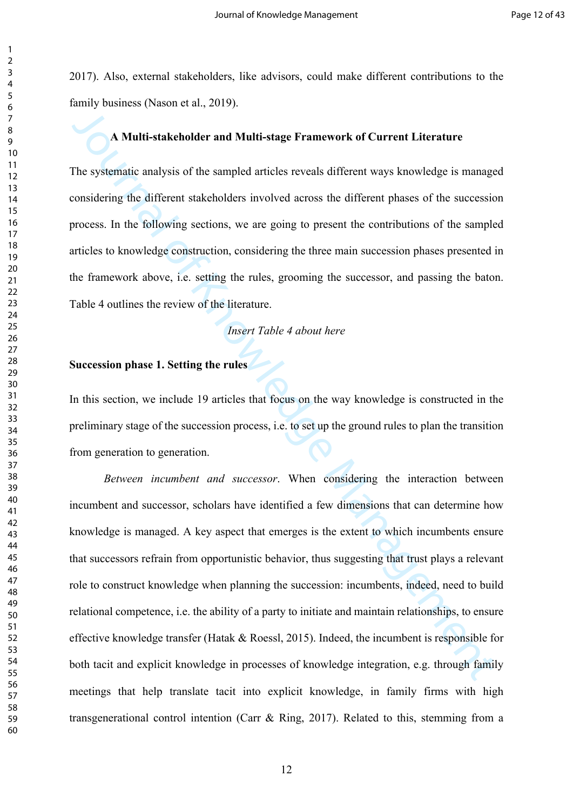2017). Also, external stakeholders, like advisors, could make different contributions to the family business (Nason et al., 2019).

# **A Multi-stakeholder and Multi-stage Framework of Current Literature**

The systematic analysis of the sampled articles reveals different ways knowledge is managed considering the different stakeholders involved across the different phases of the succession process. In the following sections, we are going to present the contributions of the sampled articles to knowledge construction, considering the three main succession phases presented in the framework above, i.e. setting the rules, grooming the successor, and passing the baton. Table 4 outlines the review of the literature.

#### *Insert Table 4 about here*

#### **Succession phase 1. Setting the rules**

In this section, we include 19 articles that focus on the way knowledge is constructed in the preliminary stage of the succession process, i.e. to set up the ground rules to plan the transition from generation to generation.

A Multi-stakeholder and Multi-stage Framework of Current Literature<br>The systematic analysis of the sampled articles reveals different ways knowledge is manage<br>considering the different stakeholders involved across the dif *Between incumbent and successor*. When considering the interaction between incumbent and successor, scholars have identified a few dimensions that can determine how knowledge is managed. A key aspect that emerges is the extent to which incumbents ensure that successors refrain from opportunistic behavior, thus suggesting that trust plays a relevant role to construct knowledge when planning the succession: incumbents, indeed, need to build relational competence, i.e. the ability of a party to initiate and maintain relationships, to ensure effective knowledge transfer (Hatak & Roessl, 2015). Indeed, the incumbent is responsible for both tacit and explicit knowledge in processes of knowledge integration, e.g. through family meetings that help translate tacit into explicit knowledge, in family firms with high transgenerational control intention (Carr & Ring, 2017). Related to this, stemming from a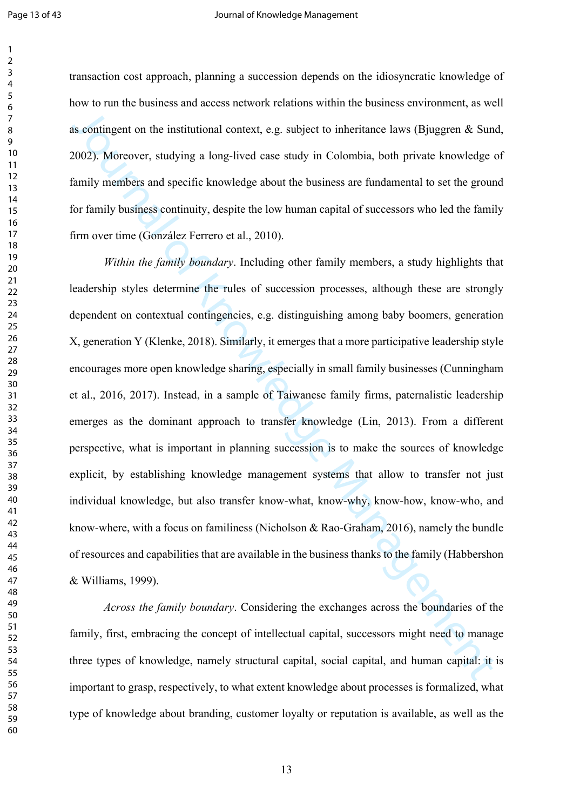transaction cost approach, planning a succession depends on the idiosyncratic knowledge of how to run the business and access network relations within the business environment, as well as contingent on the institutional context, e.g. subject to inheritance laws (Bjuggren  $\&$  Sund, 2002). Moreover, studying a long-lived case study in Colombia, both private knowledge of family members and specific knowledge about the business are fundamental to set the ground for family business continuity, despite the low human capital of successors who led the family firm over time (González Ferrero et al., 2010).

as contingent on the institutional context, e.g. subject to inheritance laws (Bjuggen & Sun<br>2002). Moreover, studying a long-lived case study in Colombia, both private knowledge Manujy members and specific knowledge about *Within the family boundary*. Including other family members, a study highlights that leadership styles determine the rules of succession processes, although these are strongly dependent on contextual contingencies, e.g. distinguishing among baby boomers, generation X, generation Y (Klenke, 2018). Similarly, it emerges that a more participative leadership style encourages more open knowledge sharing, especially in small family businesses (Cunningham et al., 2016, 2017). Instead, in a sample of Taiwanese family firms, paternalistic leadership emerges as the dominant approach to transfer knowledge (Lin, 2013). From a different perspective, what is important in planning succession is to make the sources of knowledge explicit, by establishing knowledge management systems that allow to transfer not just individual knowledge, but also transfer know-what, know-why, know-how, know-who, and know-where, with a focus on familiness (Nicholson & Rao-Graham, 2016), namely the bundle of resources and capabilities that are available in the business thanks to the family (Habbershon & Williams, 1999).

*Across the family boundary*. Considering the exchanges across the boundaries of the family, first, embracing the concept of intellectual capital, successors might need to manage three types of knowledge, namely structural capital, social capital, and human capital: it is important to grasp, respectively, to what extent knowledge about processes is formalized, what type of knowledge about branding, customer loyalty or reputation is available, as well as the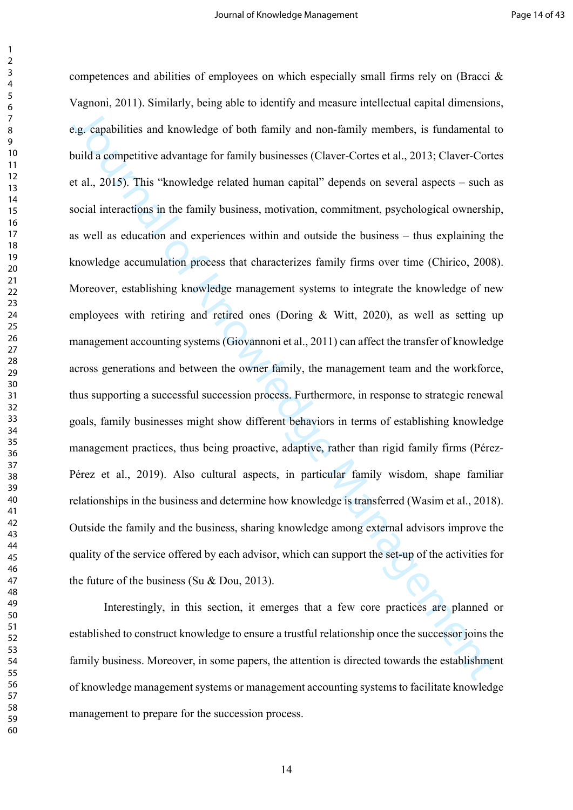ga, capabilities and knowledge of hoth family and non-family members, is fundamental<br>suid a competitive advantage for family businesses (Claver-Corres et al., 2013; Claver-Cort<br>et at a., 2015). This "knowledge related huma competences and abilities of employees on which especially small firms rely on (Bracci & Vagnoni, 2011). Similarly, being able to identify and measure intellectual capital dimensions, e.g. capabilities and knowledge of both family and non-family members, is fundamental to build a competitive advantage for family businesses (Claver-Cortes et al., 2013; Claver-Cortes et al., 2015). This "knowledge related human capital" depends on several aspects – such as social interactions in the family business, motivation, commitment, psychological ownership, as well as education and experiences within and outside the business – thus explaining the knowledge accumulation process that characterizes family firms over time (Chirico, 2008). Moreover, establishing knowledge management systems to integrate the knowledge of new employees with retiring and retired ones (Doring & Witt, 2020), as well as setting up management accounting systems (Giovannoni et al., 2011) can affect the transfer of knowledge across generations and between the owner family, the management team and the workforce, thus supporting a successful succession process. Furthermore, in response to strategic renewal goals, family businesses might show different behaviors in terms of establishing knowledge management practices, thus being proactive, adaptive, rather than rigid family firms (Pérez-Pérez et al., 2019). Also cultural aspects, in particular family wisdom, shape familiar relationships in the business and determine how knowledge is transferred (Wasim et al., 2018). Outside the family and the business, sharing knowledge among external advisors improve the quality of the service offered by each advisor, which can support the set-up of the activities for the future of the business (Su & Dou, 2013).

Interestingly, in this section, it emerges that a few core practices are planned or established to construct knowledge to ensure a trustful relationship once the successor joins the family business. Moreover, in some papers, the attention is directed towards the establishment of knowledge management systems or management accounting systems to facilitate knowledge management to prepare for the succession process.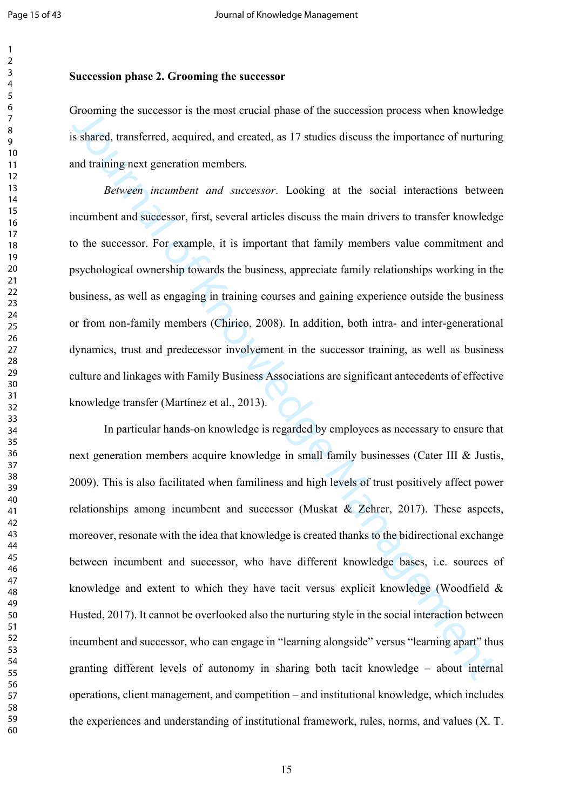#### **Succession phase 2. Grooming the successor**

Grooming the successor is the most crucial phase of the succession process when knowledge is shared, transferred, acquired, and created, as 17 studies discuss the importance of nurturing and training next generation members.

*Between incumbent and successor*. Looking at the social interactions between incumbent and successor, first, several articles discuss the main drivers to transfer knowledge to the successor. For example, it is important that family members value commitment and psychological ownership towards the business, appreciate family relationships working in the business, as well as engaging in training courses and gaining experience outside the business or from non-family members (Chirico, 2008). In addition, both intra- and inter-generational dynamics, trust and predecessor involvement in the successor training, as well as business culture and linkages with Family Business Associations are significant antecedents of effective knowledge transfer (Martínez et al., 2013).

*JROMINE The Successor is the most crueal phase of the successon process when knowledges shared, transferred, acquired, and created, as 17 studies discuss the importance of nurturinal training next generation members.<br>
<i>R* In particular hands-on knowledge is regarded by employees as necessary to ensure that next generation members acquire knowledge in small family businesses (Cater III & Justis, 2009). This is also facilitated when familiness and high levels of trust positively affect power relationships among incumbent and successor (Muskat & Zehrer, 2017). These aspects, moreover, resonate with the idea that knowledge is created thanks to the bidirectional exchange between incumbent and successor, who have different knowledge bases, i.e. sources of knowledge and extent to which they have tacit versus explicit knowledge (Woodfield  $\&$ Husted, 2017). It cannot be overlooked also the nurturing style in the social interaction between incumbent and successor, who can engage in "learning alongside" versus "learning apart" thus granting different levels of autonomy in sharing both tacit knowledge – about internal operations, client management, and competition – and institutional knowledge, which includes the experiences and understanding of institutional framework, rules, norms, and values (X. T.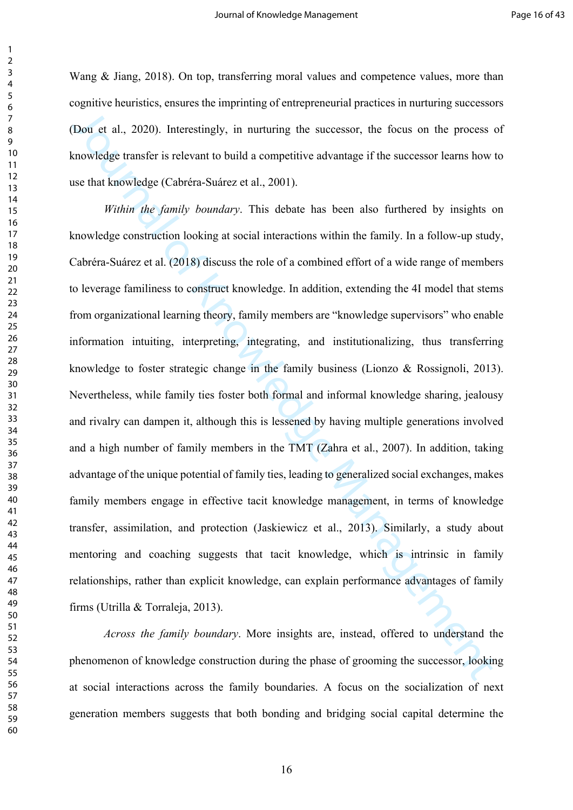Wang & Jiang, 2018). On top, transferring moral values and competence values, more than cognitive heuristics, ensures the imprinting of entrepreneurial practices in nurturing successors (Dou et al., 2020). Interestingly, in nurturing the successor, the focus on the process of knowledge transfer is relevant to build a competitive advantage if the successor learns how to use that knowledge (Cabréra-Suárez et al., 2001).

Dou et al., 2020). Interestingly, in nurturing the successor, the focus on the process can<br>whide transfer is relevant to build a competitive advantage if the successor learns how the<br>state management of build a competitive *Within the family boundary*. This debate has been also furthered by insights on knowledge construction looking at social interactions within the family. In a follow-up study, Cabréra-Suárez et al. (2018) discuss the role of a combined effort of a wide range of members to leverage familiness to construct knowledge. In addition, extending the 4I model that stems from organizational learning theory, family members are "knowledge supervisors" who enable information intuiting, interpreting, integrating, and institutionalizing, thus transferring knowledge to foster strategic change in the family business (Lionzo & Rossignoli, 2013). Nevertheless, while family ties foster both formal and informal knowledge sharing, jealousy and rivalry can dampen it, although this is lessened by having multiple generations involved and a high number of family members in the TMT (Zahra et al., 2007). In addition, taking advantage of the unique potential of family ties, leading to generalized social exchanges, makes family members engage in effective tacit knowledge management, in terms of knowledge transfer, assimilation, and protection (Jaskiewicz et al., 2013). Similarly, a study about mentoring and coaching suggests that tacit knowledge, which is intrinsic in family relationships, rather than explicit knowledge, can explain performance advantages of family firms (Utrilla & Torraleja, 2013).

*Across the family boundary*. More insights are, instead, offered to understand the phenomenon of knowledge construction during the phase of grooming the successor, looking at social interactions across the family boundaries. A focus on the socialization of next generation members suggests that both bonding and bridging social capital determine the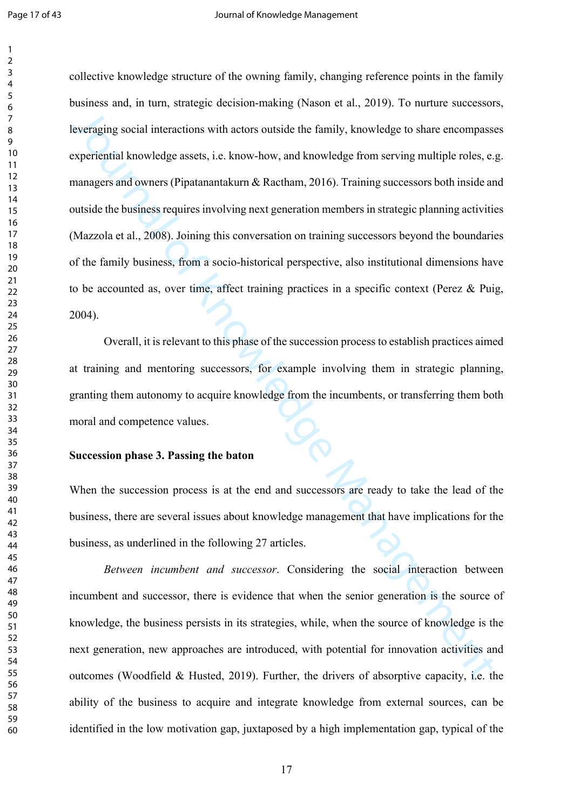Everaging social interactions with actors outside the family, knowledge to share encompassy<br>sxperioritial knowledge assets, i.e. know-how, and knowledge from serving multiple roles, e.g.<br>respectivential knowledge assets, i collective knowledge structure of the owning family, changing reference points in the family business and, in turn, strategic decision-making (Nason et al., 2019). To nurture successors, leveraging social interactions with actors outside the family, knowledge to share encompasses experiential knowledge assets, i.e. know-how, and knowledge from serving multiple roles, e.g. managers and owners (Pipatanantakurn & Ractham, 2016). Training successors both inside and outside the business requires involving next generation members in strategic planning activities (Mazzola et al., 2008). Joining this conversation on training successors beyond the boundaries of the family business, from a socio-historical perspective, also institutional dimensions have to be accounted as, over time, affect training practices in a specific context (Perez & Puig, 2004).

Overall, it is relevant to this phase of the succession process to establish practices aimed at training and mentoring successors, for example involving them in strategic planning, granting them autonomy to acquire knowledge from the incumbents, or transferring them both moral and competence values.

#### **Succession phase 3. Passing the baton**

When the succession process is at the end and successors are ready to take the lead of the business, there are several issues about knowledge management that have implications for the business, as underlined in the following 27 articles.

*Between incumbent and successor*. Considering the social interaction between incumbent and successor, there is evidence that when the senior generation is the source of knowledge, the business persists in its strategies, while, when the source of knowledge is the next generation, new approaches are introduced, with potential for innovation activities and outcomes (Woodfield & Husted, 2019). Further, the drivers of absorptive capacity, i.e. the ability of the business to acquire and integrate knowledge from external sources, can be identified in the low motivation gap, juxtaposed by a high implementation gap, typical of the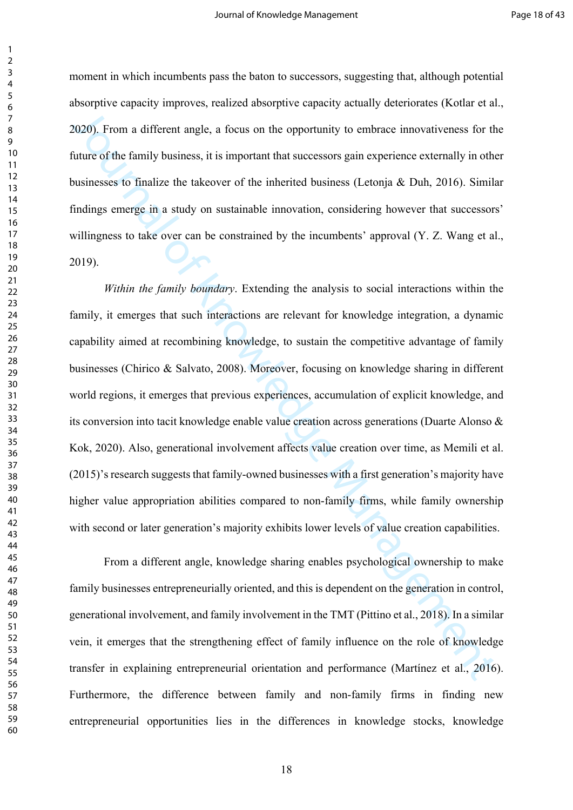moment in which incumbents pass the baton to successors, suggesting that, although potential absorptive capacity improves, realized absorptive capacity actually deteriorates (Kotlar et al., 2020). From a different angle, a focus on the opportunity to embrace innovativeness for the future of the family business, it is important that successors gain experience externally in other businesses to finalize the takeover of the inherited business (Letonja & Duh, 2016). Similar findings emerge in a study on sustainable innovation, considering however that successors' willingness to take over can be constrained by the incumbents' approval (Y. Z. Wang et al., 2019).

2015). From a different angle, a focus on the opportunity to embrace innovativeness for the<br>future of the family business, it is important that successors gain experience externally in othous<br>numesses to finalize the takeo *Within the family boundary*. Extending the analysis to social interactions within the family, it emerges that such interactions are relevant for knowledge integration, a dynamic capability aimed at recombining knowledge, to sustain the competitive advantage of family businesses (Chirico & Salvato, 2008). Moreover, focusing on knowledge sharing in different world regions, it emerges that previous experiences, accumulation of explicit knowledge, and its conversion into tacit knowledge enable value creation across generations (Duarte Alonso & Kok, 2020). Also, generational involvement affects value creation over time, as Memili et al. (2015)'s research suggests that family-owned businesses with a first generation's majority have higher value appropriation abilities compared to non-family firms, while family ownership with second or later generation's majority exhibits lower levels of value creation capabilities.

From a different angle, knowledge sharing enables psychological ownership to make family businesses entrepreneurially oriented, and this is dependent on the generation in control, generational involvement, and family involvement in the TMT (Pittino et al., 2018). In a similar vein, it emerges that the strengthening effect of family influence on the role of knowledge transfer in explaining entrepreneurial orientation and performance (Martínez et al., 2016). Furthermore, the difference between family and non-family firms in finding new entrepreneurial opportunities lies in the differences in knowledge stocks, knowledge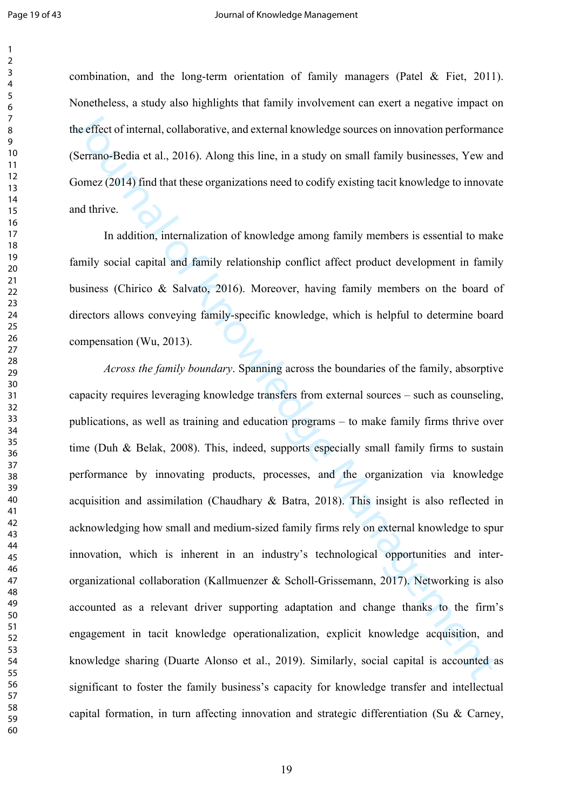combination, and the long-term orientation of family managers (Patel & Fiet, 2011). Nonetheless, a study also highlights that family involvement can exert a negative impact on the effect of internal, collaborative, and external knowledge sources on innovation performance (Serrano-Bedia et al., 2016). Along this line, in a study on small family businesses, Yew and Gomez (2014) find that these organizations need to codify existing tacit knowledge to innovate and thrive.

In addition, internalization of knowledge among family members is essential to make family social capital and family relationship conflict affect product development in family business (Chirico & Salvato, 2016). Moreover, having family members on the board of directors allows conveying family-specific knowledge, which is helpful to determine board compensation (Wu, 2013).

The effect of internal, collaborative, and external knowledge sources on innovation performances<br>
Serrano-Bedia et al., 2016). Along this line, in a study on small family businesses, Yew an<br>
Serrano-Bedia et al., 2016). Al *Across the family boundary*. Spanning across the boundaries of the family, absorptive capacity requires leveraging knowledge transfers from external sources – such as counseling, publications, as well as training and education programs – to make family firms thrive over time (Duh & Belak, 2008). This, indeed, supports especially small family firms to sustain performance by innovating products, processes, and the organization via knowledge acquisition and assimilation (Chaudhary & Batra, 2018). This insight is also reflected in acknowledging how small and medium-sized family firms rely on external knowledge to spur innovation, which is inherent in an industry's technological opportunities and interorganizational collaboration (Kallmuenzer & Scholl-Grissemann, 2017). Networking is also accounted as a relevant driver supporting adaptation and change thanks to the firm's engagement in tacit knowledge operationalization, explicit knowledge acquisition, and knowledge sharing (Duarte Alonso et al., 2019). Similarly, social capital is accounted as significant to foster the family business's capacity for knowledge transfer and intellectual capital formation, in turn affecting innovation and strategic differentiation (Su & Carney,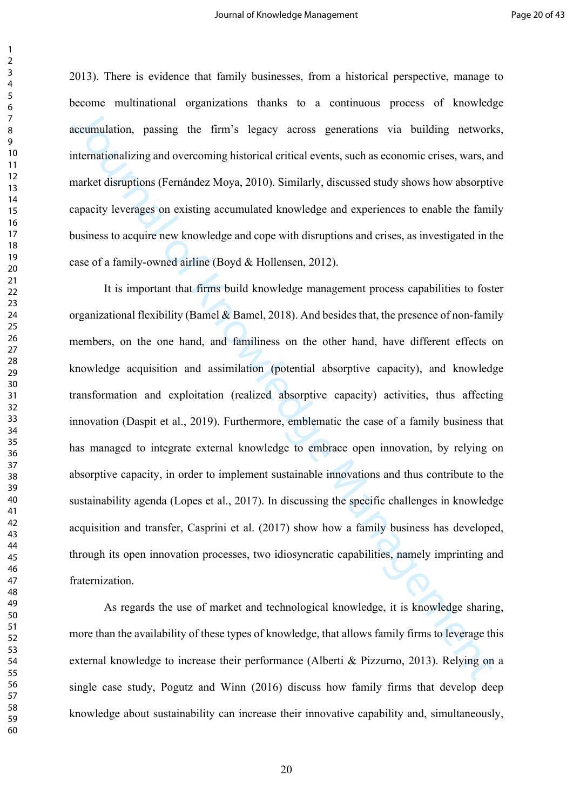2013). There is evidence that family businesses, from a historical perspective, manage to become multinational organizations thanks to a continuous process of knowledge accumulation, passing the firm's legacy across generations via building networks, internationalizing and overcoming historical critical events, such as economic crises, wars, and market disruptions (Fernández Moya, 2010). Similarly, discussed study shows how absorptive capacity leverages on existing accumulated knowledge and experiences to enable the family business to acquire new knowledge and cope with disruptions and crises, as investigated in the case of a family-owned airline (Boyd & Hollensen, 2012).

accumulation, passing the firm's legacy across generations via building network<br>internationalizing and overcoming historical critical events, such as economic exises, wars, an<br>market disruptions (Fernandez Moya, 2010). Sim It is important that firms build knowledge management process capabilities to foster organizational flexibility (Bamel  $\&$  Bamel, 2018). And besides that, the presence of non-family members, on the one hand, and familiness on the other hand, have different effects on knowledge acquisition and assimilation (potential absorptive capacity), and knowledge transformation and exploitation (realized absorptive capacity) activities, thus affecting innovation (Daspit et al., 2019). Furthermore, emblematic the case of a family business that has managed to integrate external knowledge to embrace open innovation, by relying on absorptive capacity, in order to implement sustainable innovations and thus contribute to the sustainability agenda (Lopes et al., 2017). In discussing the specific challenges in knowledge acquisition and transfer, Casprini et al. (2017) show how a family business has developed, through its open innovation processes, two idiosyncratic capabilities, namely imprinting and fraternization.

As regards the use of market and technological knowledge, it is knowledge sharing, more than the availability of these types of knowledge, that allows family firms to leverage this external knowledge to increase their performance (Alberti & Pizzurno, 2013). Relying on a single case study, Pogutz and Winn (2016) discuss how family firms that develop deep knowledge about sustainability can increase their innovative capability and, simultaneously,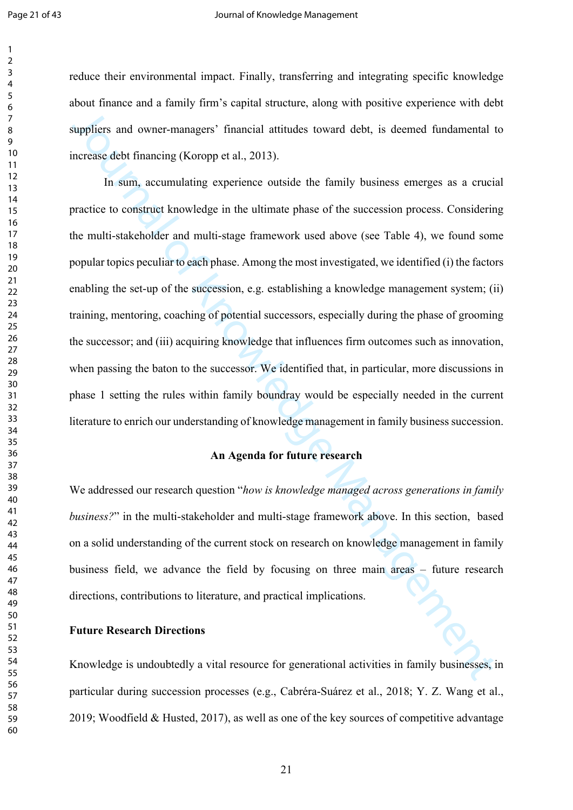reduce their environmental impact. Finally, transferring and integrating specific knowledge about finance and a family firm's capital structure, along with positive experience with debt suppliers and owner-managers' financial attitudes toward debt, is deemed fundamental to increase debt financing (Koropp et al., 2013).

suppliers and owner-managers' financial attitudes toward debt, is deemed fundamental theresses dobt financing (Koropp et al., 2013).<br>
In sum, accumulating experience outside the family business emerges as a cruciation to c In sum, accumulating experience outside the family business emerges as a crucial practice to construct knowledge in the ultimate phase of the succession process. Considering the multi-stakeholder and multi-stage framework used above (see Table 4), we found some popular topics peculiar to each phase. Among the most investigated, we identified (i) the factors enabling the set-up of the succession, e.g. establishing a knowledge management system; (ii) training, mentoring, coaching of potential successors, especially during the phase of grooming the successor; and (iii) acquiring knowledge that influences firm outcomes such as innovation, when passing the baton to the successor. We identified that, in particular, more discussions in phase 1 setting the rules within family boundray would be especially needed in the current literature to enrich our understanding of knowledge management in family business succession.

# **An Agenda for future research**

We addressed our research question "*how is knowledge managed across generations in family business?*" in the multi-stakeholder and multi-stage framework above. In this section, based on a solid understanding of the current stock on research on knowledge management in family business field, we advance the field by focusing on three main areas – future research directions, contributions to literature, and practical implications.

#### **Future Research Directions**

Knowledge is undoubtedly a vital resource for generational activities in family businesses, in particular during succession processes (e.g., Cabréra-Suárez et al., 2018; Y. Z. Wang et al., 2019; Woodfield & Husted, 2017), as well as one of the key sources of competitive advantage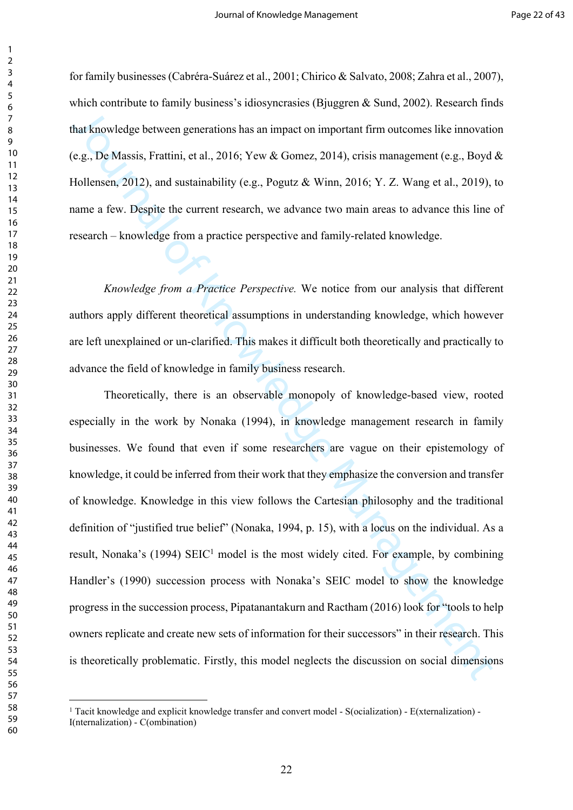for family businesses (Cabréra-Suárez et al., 2001; Chirico & Salvato, 2008; Zahra et al., 2007), which contribute to family business's idiosyncrasies (Bjuggren & Sund, 2002). Research finds that knowledge between generations has an impact on important firm outcomes like innovation (e.g., De Massis, Frattini, et al., 2016; Yew & Gomez, 2014), crisis management (e.g., Boyd & Hollensen, 2012), and sustainability (e.g., Pogutz & Winn, 2016; Y. Z. Wang et al., 2019), to name a few. Despite the current research, we advance two main areas to advance this line of research – knowledge from a practice perspective and family-related knowledge.

*Knowledge from a Practice Perspective.* We notice from our analysis that different authors apply different theoretical assumptions in understanding knowledge, which however are left unexplained or un-clarified. This makes it difficult both theoretically and practically to advance the field of knowledge in family business research.

that knowledge between generations has an impact on important firm outcomes like innovation (e.g., De Massis, Frattini, et al., 2016; Yew & Gomez, 2014), crisis management (e.g., Boyd tollensen, 2012), and sustainability Theoretically, there is an observable monopoly of knowledge-based view, rooted especially in the work by Nonaka (1994), in knowledge management research in family businesses. We found that even if some researchers are vague on their epistemology of knowledge, it could be inferred from their work that they emphasize the conversion and transfer of knowledge. Knowledge in this view follows the Cartesian philosophy and the traditional definition of "justified true belief" (Nonaka, 1994, p. 15), with a locus on the individual. As a result, Nonaka's (1994) SEIC<sup>1</sup> model is the most widely cited. For example, by combining Handler's (1990) succession process with Nonaka's SEIC model to show the knowledge progress in the succession process, Pipatanantakurn and Ractham (2016) look for "tools to help owners replicate and create new sets of information for their successors" in their research. This is theoretically problematic. Firstly, this model neglects the discussion on social dimensions

 Tacit knowledge and explicit knowledge transfer and convert model - S(ocialization) - E(xternalization) - I(nternalization) - C(ombination)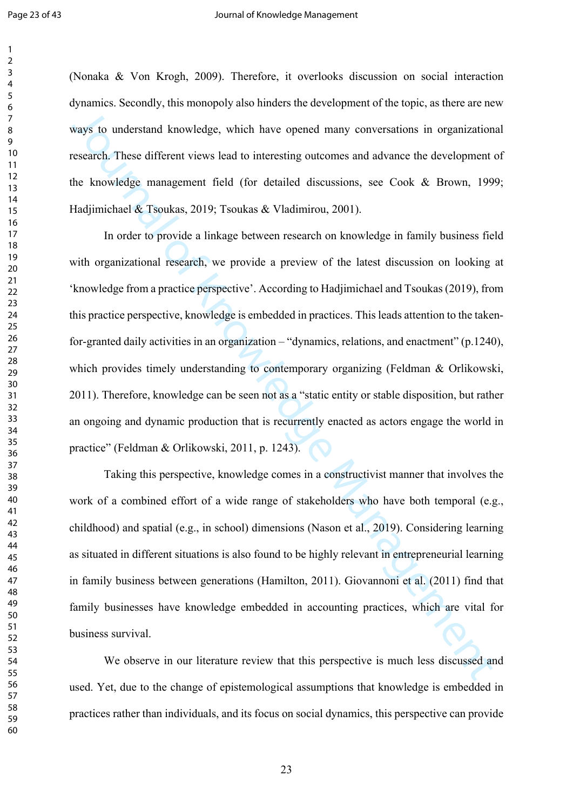(Nonaka & Von Krogh, 2009). Therefore, it overlooks discussion on social interaction dynamics. Secondly, this monopoly also hinders the development of the topic, as there are new ways to understand knowledge, which have opened many conversations in organizational research. These different views lead to interesting outcomes and advance the development of the knowledge management field (for detailed discussions, see Cook & Brown, 1999; Hadjimichael & Tsoukas, 2019; Tsoukas & Vladimirou, 2001).

Solution the internal knowledge, which have opened many conversations in organization<br>
Solution and the statificant views lead to interesting outcomes and advance the development<br>
the knowledge management field (for detail In order to provide a linkage between research on knowledge in family business field with organizational research, we provide a preview of the latest discussion on looking at 'knowledge from a practice perspective'. According to Hadjimichael and Tsoukas (2019), from this practice perspective, knowledge is embedded in practices. This leads attention to the takenfor-granted daily activities in an organization – "dynamics, relations, and enactment" (p.1240), which provides timely understanding to contemporary organizing (Feldman & Orlikowski, 2011). Therefore, knowledge can be seen not as a "static entity or stable disposition, but rather an ongoing and dynamic production that is recurrently enacted as actors engage the world in practice" (Feldman & Orlikowski, 2011, p. 1243).

Taking this perspective, knowledge comes in a constructivist manner that involves the work of a combined effort of a wide range of stakeholders who have both temporal (e.g., childhood) and spatial (e.g., in school) dimensions (Nason et al., 2019). Considering learning as situated in different situations is also found to be highly relevant in entrepreneurial learning in family business between generations (Hamilton, 2011). Giovannoni et al. (2011) find that family businesses have knowledge embedded in accounting practices, which are vital for business survival.

We observe in our literature review that this perspective is much less discussed and used. Yet, due to the change of epistemological assumptions that knowledge is embedded in practices rather than individuals, and its focus on social dynamics, this perspective can provide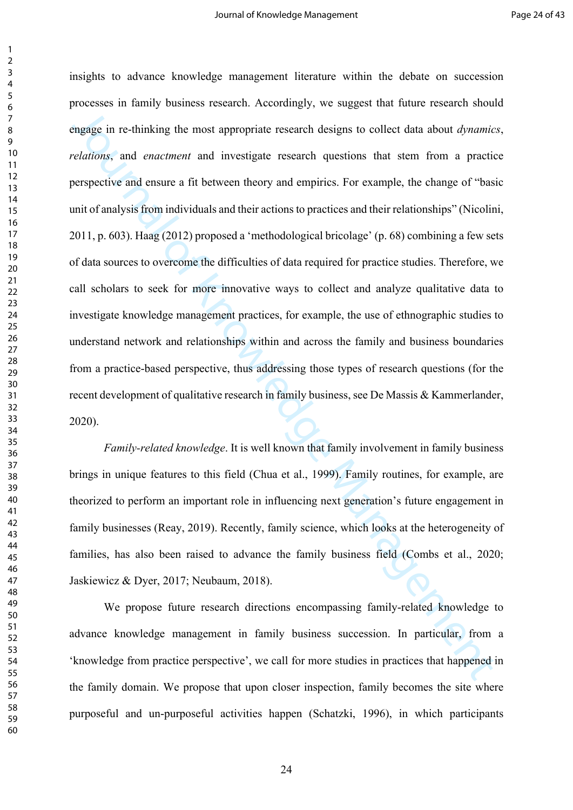engage in re-thinking the most appropriate research designs to collect data about *dynanic*<br>velations, and *enactment* and investigate research designs to collect data about *dynanic*<br>velations, and enactment and investiga insights to advance knowledge management literature within the debate on succession processes in family business research. Accordingly, we suggest that future research should engage in re-thinking the most appropriate research designs to collect data about *dynamics*, *relations*, and *enactment* and investigate research questions that stem from a practice perspective and ensure a fit between theory and empirics. For example, the change of "basic unit of analysis from individuals and their actions to practices and their relationships" (Nicolini, 2011, p. 603). Haag (2012) proposed a 'methodological bricolage' (p. 68) combining a few sets of data sources to overcome the difficulties of data required for practice studies. Therefore, we call scholars to seek for more innovative ways to collect and analyze qualitative data to investigate knowledge management practices, for example, the use of ethnographic studies to understand network and relationships within and across the family and business boundaries from a practice-based perspective, thus addressing those types of research questions (for the recent development of qualitative research in family business, see De Massis & Kammerlander, 2020).

*Family-related knowledge*. It is well known that family involvement in family business brings in unique features to this field (Chua et al., 1999). Family routines, for example, are theorized to perform an important role in influencing next generation's future engagement in family businesses (Reay, 2019). Recently, family science, which looks at the heterogeneity of families, has also been raised to advance the family business field (Combs et al., 2020; Jaskiewicz & Dyer, 2017; Neubaum, 2018).

We propose future research directions encompassing family-related knowledge to advance knowledge management in family business succession. In particular, from a 'knowledge from practice perspective', we call for more studies in practices that happened in the family domain. We propose that upon closer inspection, family becomes the site where purposeful and un-purposeful activities happen (Schatzki, 1996), in which participants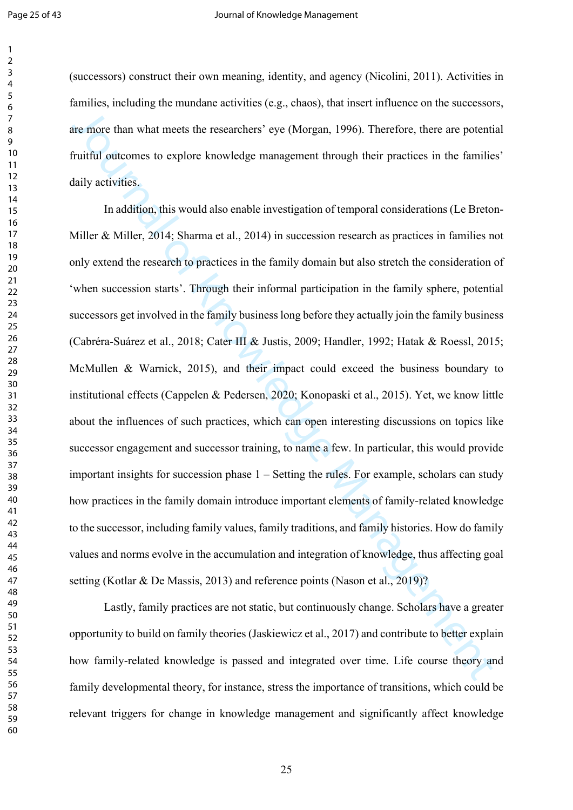(successors) construct their own meaning, identity, and agency (Nicolini, 2011). Activities in families, including the mundane activities (e.g., chaos), that insert influence on the successors, are more than what meets the researchers' eye (Morgan, 1996). Therefore, there are potential fruitful outcomes to explore knowledge management through their practices in the families' daily activities.

are more than what meets the researchers' eye (Morgan, 1996). Therefore, there are potentifuritial outcomes to explore knowledge management through their practices in the fimilies<br>failuly activities.<br>In addition, this woul In addition, this would also enable investigation of temporal considerations (Le Breton-Miller & Miller, 2014; Sharma et al., 2014) in succession research as practices in families not only extend the research to practices in the family domain but also stretch the consideration of 'when succession starts'. Through their informal participation in the family sphere, potential successors get involved in the family business long before they actually join the family business (Cabréra-Suárez et al., 2018; Cater III & Justis, 2009; Handler, 1992; Hatak & Roessl, 2015; McMullen & Warnick, 2015), and their impact could exceed the business boundary to institutional effects (Cappelen & Pedersen, 2020; Konopaski et al., 2015). Yet, we know little about the influences of such practices, which can open interesting discussions on topics like successor engagement and successor training, to name a few. In particular, this would provide important insights for succession phase 1 – Setting the rules. For example, scholars can study how practices in the family domain introduce important elements of family-related knowledge to the successor, including family values, family traditions, and family histories. How do family values and norms evolve in the accumulation and integration of knowledge, thus affecting goal setting (Kotlar & De Massis, 2013) and reference points (Nason et al., 2019)?

Lastly, family practices are not static, but continuously change. Scholars have a greater opportunity to build on family theories (Jaskiewicz et al., 2017) and contribute to better explain how family-related knowledge is passed and integrated over time. Life course theory and family developmental theory, for instance, stress the importance of transitions, which could be relevant triggers for change in knowledge management and significantly affect knowledge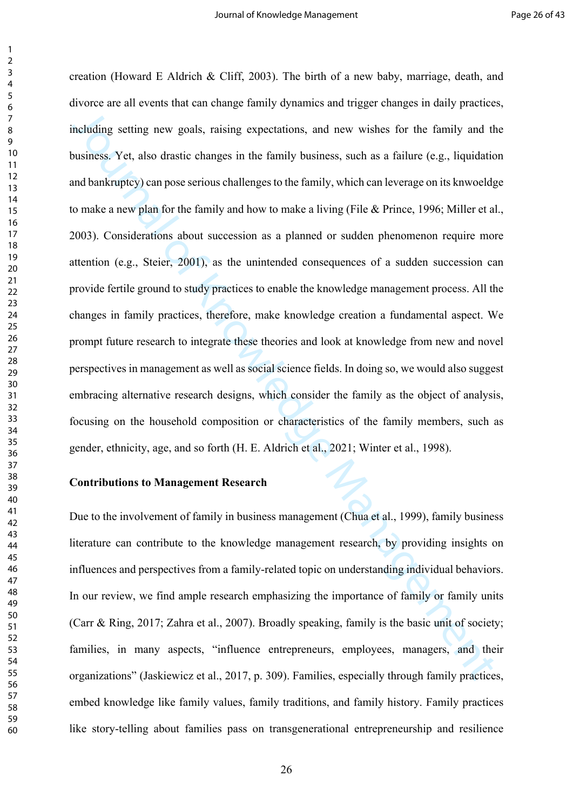meluding setting new goals, raising expectations, and new wishes for the family and the<br>usualizes. Yet, also drastic changes in the family business, such as a failure (e.g., liquidation<br>and bankruptcy) can pose serious cha creation (Howard E Aldrich & Cliff, 2003). The birth of a new baby, marriage, death, and divorce are all events that can change family dynamics and trigger changes in daily practices, including setting new goals, raising expectations, and new wishes for the family and the business. Yet, also drastic changes in the family business, such as a failure (e.g., liquidation and bankruptcy) can pose serious challenges to the family, which can leverage on its knwoeldge to make a new plan for the family and how to make a living (File & Prince, 1996; Miller et al., 2003). Considerations about succession as a planned or sudden phenomenon require more attention (e.g., Steier, 2001), as the unintended consequences of a sudden succession can provide fertile ground to study practices to enable the knowledge management process. All the changes in family practices, therefore, make knowledge creation a fundamental aspect. We prompt future research to integrate these theories and look at knowledge from new and novel perspectives in management as well as social science fields. In doing so, we would also suggest embracing alternative research designs, which consider the family as the object of analysis, focusing on the household composition or characteristics of the family members, such as gender, ethnicity, age, and so forth (H. E. Aldrich et al., 2021; Winter et al., 1998).

#### **Contributions to Management Research**

Due to the involvement of family in business management (Chua et al., 1999), family business literature can contribute to the knowledge management research, by providing insights on influences and perspectives from a family-related topic on understanding individual behaviors. In our review, we find ample research emphasizing the importance of family or family units (Carr & Ring, 2017; Zahra et al., 2007). Broadly speaking, family is the basic unit of society; families, in many aspects, "influence entrepreneurs, employees, managers, and their organizations" (Jaskiewicz et al., 2017, p. 309). Families, especially through family practices, embed knowledge like family values, family traditions, and family history. Family practices like story-telling about families pass on transgenerational entrepreneurship and resilience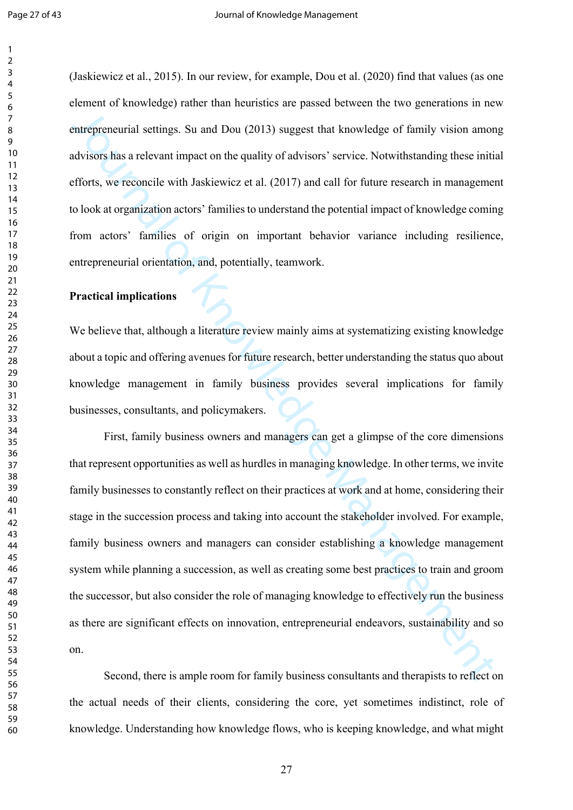(Jaskiewicz et al., 2015). In our review, for example, Dou et al. (2020) find that values (as one element of knowledge) rather than heuristics are passed between the two generations in new entrepreneurial settings. Su and Dou (2013) suggest that knowledge of family vision among advisors has a relevant impact on the quality of advisors' service. Notwithstanding these initial efforts, we reconcile with Jaskiewicz et al. (2017) and call for future research in management to look at organization actors' families to understand the potential impact of knowledge coming from actors' families of origin on important behavior variance including resilience, entrepreneurial orientation, and, potentially, teamwork.

#### **Practical implications**

We believe that, although a literature review mainly aims at systematizing existing knowledge about a topic and offering avenues for future research, better understanding the status quo about knowledge management in family business provides several implications for family businesses, consultants, and policymakers.

entrepreneurial settings. Su and Dou (2013) suggest that knowledge of family vision amond<br>visions has a relevant impact on the quality of advisors' service. Notwithstanding these initial<br>filters, we reconcile with Jaskiewi First, family business owners and managers can get a glimpse of the core dimensions that represent opportunities as well as hurdles in managing knowledge. In other terms, we invite family businesses to constantly reflect on their practices at work and at home, considering their stage in the succession process and taking into account the stakeholder involved. For example, family business owners and managers can consider establishing a knowledge management system while planning a succession, as well as creating some best practices to train and groom the successor, but also consider the role of managing knowledge to effectively run the business as there are significant effects on innovation, entrepreneurial endeavors, sustainability and so on.

Second, there is ample room for family business consultants and therapists to reflect on the actual needs of their clients, considering the core, yet sometimes indistinct, role of knowledge. Understanding how knowledge flows, who is keeping knowledge, and what might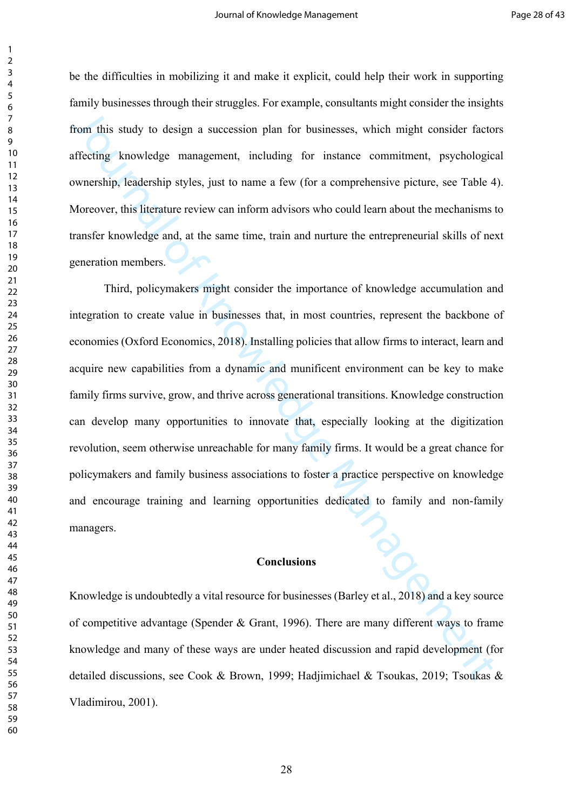be the difficulties in mobilizing it and make it explicit, could help their work in supporting family businesses through their struggles. For example, consultants might consider the insights from this study to design a succession plan for businesses, which might consider factors affecting knowledge management, including for instance commitment, psychological ownership, leadership styles, just to name a few (for a comprehensive picture, see Table 4). Moreover, this literature review can inform advisors who could learn about the mechanisms to transfer knowledge and, at the same time, train and nurture the entrepreneurial skills of next generation members.

Trom this study to design a succession plan for businesses, which might consider factom<br>from this study to design a succession plan for businesses, which might consider factom<br>frecting knowledge management, including for i Third, policymakers might consider the importance of knowledge accumulation and integration to create value in businesses that, in most countries, represent the backbone of economies (Oxford Economics, 2018). Installing policies that allow firms to interact, learn and acquire new capabilities from a dynamic and munificent environment can be key to make family firms survive, grow, and thrive across generational transitions. Knowledge construction can develop many opportunities to innovate that, especially looking at the digitization revolution, seem otherwise unreachable for many family firms. It would be a great chance for policymakers and family business associations to foster a practice perspective on knowledge and encourage training and learning opportunities dedicated to family and non-family managers.

#### **Conclusions**

Knowledge is undoubtedly a vital resource for businesses (Barley et al., 2018) and a key source of competitive advantage (Spender & Grant, 1996). There are many different ways to frame knowledge and many of these ways are under heated discussion and rapid development (for detailed discussions, see Cook & Brown, 1999; Hadjimichael & Tsoukas, 2019; Tsoukas & Vladimirou, 2001).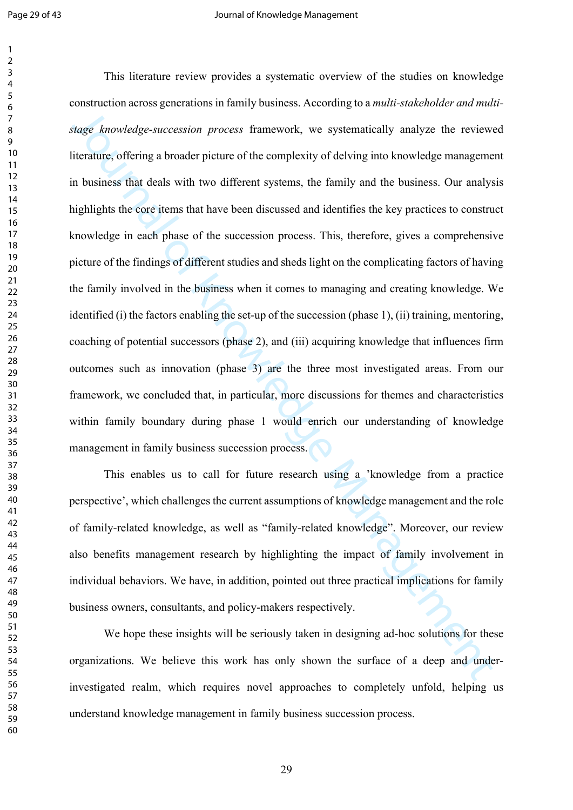Single *hanwledge-succession process* framework, we systematically analyze the review<br>titerature, offering a broader picture of the complexity of delving into knowledge management<br>notainses that deals with two different sy This literature review provides a systematic overview of the studies on knowledge construction across generations in family business. According to a *multi-stakeholder and multistage knowledge-succession process* framework, we systematically analyze the reviewed literature, offering a broader picture of the complexity of delving into knowledge management in business that deals with two different systems, the family and the business. Our analysis highlights the core items that have been discussed and identifies the key practices to construct knowledge in each phase of the succession process. This, therefore, gives a comprehensive picture of the findings of different studies and sheds light on the complicating factors of having the family involved in the business when it comes to managing and creating knowledge. We identified (i) the factors enabling the set-up of the succession (phase 1), (ii) training, mentoring, coaching of potential successors (phase 2), and (iii) acquiring knowledge that influences firm outcomes such as innovation (phase 3) are the three most investigated areas. From our framework, we concluded that, in particular, more discussions for themes and characteristics within family boundary during phase 1 would enrich our understanding of knowledge management in family business succession process.

This enables us to call for future research using a 'knowledge from a practice perspective', which challenges the current assumptions of knowledge management and the role of family-related knowledge, as well as "family-related knowledge". Moreover, our review also benefits management research by highlighting the impact of family involvement in individual behaviors. We have, in addition, pointed out three practical implications for family business owners, consultants, and policy-makers respectively.

We hope these insights will be seriously taken in designing ad-hoc solutions for these organizations. We believe this work has only shown the surface of a deep and underinvestigated realm, which requires novel approaches to completely unfold, helping us understand knowledge management in family business succession process.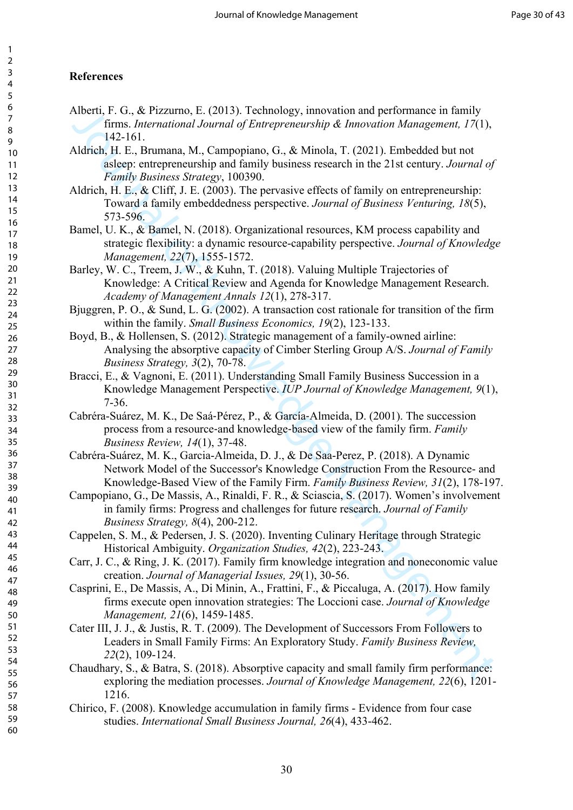# **References**

- Alberti, F. G., & Pizzurno, E. (2013). Technology, innovation and performance in family firms. *International Journal of Entrepreneurship & Innovation Management, 17*(1), 142-161.
- Aldrich, H. E., Brumana, M., Campopiano, G., & Minola, T. (2021). Embedded but not asleep: entrepreneurship and family business research in the 21st century. *Journal of Family Business Strategy*, 100390.
- Aldrich, H. E., & Cliff, J. E. (2003). The pervasive effects of family on entrepreneurship: Toward a family embeddedness perspective. *Journal of Business Venturing, 18*(5), 573-596.
- Cheen, F. G., & Pizzamo, E. (2013). I. cennology, unnevation and performance in funity<br>
firms. International of Europeyeneurship & Innovation Management,  $I(71)$ ,<br>
Iddiret, H. E., Brunana, M., Campopiano, G., & Minola, T. Bamel, U. K., & Bamel, N. (2018). Organizational resources, KM process capability and strategic flexibility: a dynamic resource-capability perspective. *Journal of Knowledge Management, 22*(7), 1555-1572.
- Barley, W. C., Treem, J. W., & Kuhn, T. (2018). Valuing Multiple Trajectories of Knowledge: A Critical Review and Agenda for Knowledge Management Research. *Academy of Management Annals 12*(1), 278-317.
- Bjuggren, P. O., & Sund, L. G. (2002). A transaction cost rationale for transition of the firm within the family. *Small Business Economics, 19*(2), 123-133.
- Boyd, B., & Hollensen, S. (2012). Strategic management of a family-owned airline: Analysing the absorptive capacity of Cimber Sterling Group A/S. *Journal of Family Business Strategy, 3*(2), 70-78.
- Bracci, E., & Vagnoni, E. (2011). Understanding Small Family Business Succession in a Knowledge Management Perspective. *IUP Journal of Knowledge Management, 9*(1), 7-36.
- Cabréra-Suárez, M. K., De Saá‐Pérez, P., & García‐Almeida, D. (2001). The succession process from a resource‐and knowledge‐based view of the family firm. *Family Business Review, 14*(1), 37-48.
- Cabréra-Suárez, M. K., Garcia-Almeida, D. J., & De Saa-Perez, P. (2018). A Dynamic Network Model of the Successor's Knowledge Construction From the Resource- and Knowledge-Based View of the Family Firm. *Family Business Review, 31*(2), 178-197.
- Campopiano, G., De Massis, A., Rinaldi, F. R., & Sciascia, S. (2017). Women's involvement in family firms: Progress and challenges for future research. *Journal of Family Business Strategy, 8*(4), 200-212.
- Cappelen, S. M., & Pedersen, J. S. (2020). Inventing Culinary Heritage through Strategic Historical Ambiguity. *Organization Studies, 42*(2), 223-243.
- Carr, J. C., & Ring, J. K. (2017). Family firm knowledge integration and noneconomic value creation. *Journal of Managerial Issues, 29*(1), 30-56.
- Casprini, E., De Massis, A., Di Minin, A., Frattini, F., & Piccaluga, A. (2017). How family firms execute open innovation strategies: The Loccioni case. *Journal of Knowledge Management, 21*(6), 1459-1485.
- Cater III, J. J., & Justis, R. T. (2009). The Development of Successors From Followers to Leaders in Small Family Firms: An Exploratory Study. *Family Business Review, 22*(2), 109-124.
- Chaudhary, S., & Batra, S. (2018). Absorptive capacity and small family firm performance: exploring the mediation processes. *Journal of Knowledge Management, 22*(6), 1201- 1216.
- Chirico, F. (2008). Knowledge accumulation in family firms Evidence from four case studies. *International Small Business Journal, 26*(4), 433-462.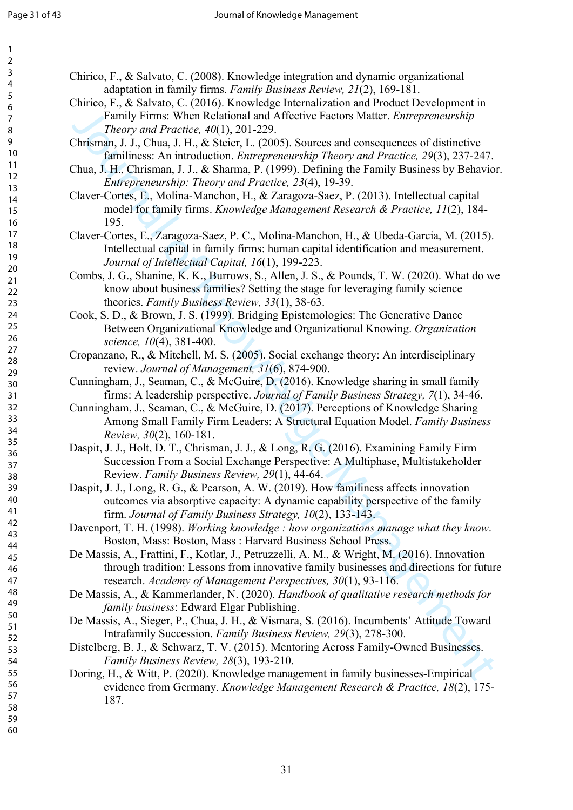| $\overline{c}$                   |  |
|----------------------------------|--|
|                                  |  |
| 3<br>4                           |  |
|                                  |  |
| 5                                |  |
| 6                                |  |
|                                  |  |
| 7                                |  |
| 8                                |  |
|                                  |  |
| 9<br>10                          |  |
|                                  |  |
| 1<br>1                           |  |
| 12                               |  |
| 13<br>14<br>15<br>16<br>17<br>18 |  |
|                                  |  |
|                                  |  |
|                                  |  |
|                                  |  |
|                                  |  |
|                                  |  |
| 19                               |  |
|                                  |  |
| 20                               |  |
| $\overline{21}$                  |  |
| $\overline{22}$                  |  |
| $\overline{23}$                  |  |
| 24                               |  |
|                                  |  |
| 25                               |  |
| 26                               |  |
| 27                               |  |
|                                  |  |
| 28                               |  |
| 29                               |  |
| 30                               |  |
| 31                               |  |
| $\overline{32}$                  |  |
|                                  |  |
| 33                               |  |
| 34                               |  |
| 35                               |  |
| 36                               |  |
|                                  |  |
| 37                               |  |
| 38                               |  |
| 39                               |  |
| 40                               |  |
|                                  |  |
| 41                               |  |
| 42                               |  |
| 43                               |  |
| 44                               |  |
| 45                               |  |
|                                  |  |
| 46                               |  |
| 47                               |  |
| 48                               |  |
| 49                               |  |
|                                  |  |
| 50                               |  |
| 51                               |  |
| 52                               |  |
| 53                               |  |
|                                  |  |
| 54                               |  |
| 55                               |  |
| 56                               |  |
| 57                               |  |
|                                  |  |
| 58                               |  |
| 59                               |  |

60

Chirico, F., & Salvato, C. (2008). Knowledge integration and dynamic organizational adaptation in family firms. *Family Business Review, 21*(2), 169-181.

Chirico, F., & Salvato, C. (2016). Knowledge Internalization and Product Development in Family Firms: When Relational and Affective Factors Matter. *Entrepreneurship Theory and Practice, 40*(1), 201-229.

Chrisman, J. J., Chua, J. H., & Steier, L. (2005). Sources and consequences of distinctive familiness: An introduction. *Entrepreneurship Theory and Practice, 29*(3), 237-247.

Chua, J. H., Chrisman, J. J., & Sharma, P. (1999). Defining the Family Business by Behavior. *Entrepreneurship: Theory and Practice, 23*(4), 19-39.

Claver-Cortes, E., Molina-Manchon, H., & Zaragoza-Saez, P. (2013). Intellectual capital model for family firms. *Knowledge Management Research & Practice, 11*(2), 184- 195.

Claver-Cortes, E., Zaragoza-Saez, P. C., Molina-Manchon, H., & Ubeda-Garcia, M. (2015). Intellectual capital in family firms: human capital identification and measurement. *Journal of Intellectual Capital, 16*(1), 199-223.

Framily Firms: When Relational and Afteritve Fuetors Mutter. *Enterpreneurship*<br>
Theory and Practice, 40(1), 201-229.<br>
Christman, 1.1, Chas, H. 1. & Nieter, 1. (2005), Nources and consequences of distinctive<br>
Christman J. Combs, J. G., Shanine, K. K., Burrows, S., Allen, J. S., & Pounds, T. W. (2020). What do we know about business families? Setting the stage for leveraging family science theories. *Family Business Review, 33*(1), 38-63.

Cook, S. D., & Brown, J. S. (1999). Bridging Epistemologies: The Generative Dance Between Organizational Knowledge and Organizational Knowing. *Organization science, 10*(4), 381-400.

Cropanzano, R., & Mitchell, M. S. (2005). Social exchange theory: An interdisciplinary review. *Journal of Management, 31*(6), 874-900.

Cunningham, J., Seaman, C., & McGuire, D. (2016). Knowledge sharing in small family firms: A leadership perspective. *Journal of Family Business Strategy, 7*(1), 34-46.

Cunningham, J., Seaman, C., & McGuire, D. (2017). Perceptions of Knowledge Sharing Among Small Family Firm Leaders: A Structural Equation Model. *Family Business Review, 30*(2), 160-181.

Daspit, J. J., Holt, D. T., Chrisman, J. J., & Long, R. G. (2016). Examining Family Firm Succession From a Social Exchange Perspective: A Multiphase, Multistakeholder Review. *Family Business Review, 29*(1), 44-64.

Daspit, J. J., Long, R. G., & Pearson, A. W. (2019). How familiness affects innovation outcomes via absorptive capacity: A dynamic capability perspective of the family firm. *Journal of Family Business Strategy, 10*(2), 133-143.

Davenport, T. H. (1998). *Working knowledge : how organizations manage what they know*. Boston, Mass: Boston, Mass : Harvard Business School Press.

De Massis, A., Frattini, F., Kotlar, J., Petruzzelli, A. M., & Wright, M. (2016). Innovation through tradition: Lessons from innovative family businesses and directions for future research. *Academy of Management Perspectives, 30*(1), 93-116.

De Massis, A., & Kammerlander, N. (2020). *Handbook of qualitative research methods for family business*: Edward Elgar Publishing.

De Massis, A., Sieger, P., Chua, J. H., & Vismara, S. (2016). Incumbents' Attitude Toward Intrafamily Succession. *Family Business Review, 29*(3), 278-300.

Distelberg, B. J., & Schwarz, T. V. (2015). Mentoring Across Family-Owned Businesses. *Family Business Review, 28*(3), 193-210.

Doring, H., & Witt, P. (2020). Knowledge management in family businesses-Empirical evidence from Germany. *Knowledge Management Research & Practice, 18*(2), 175- 187.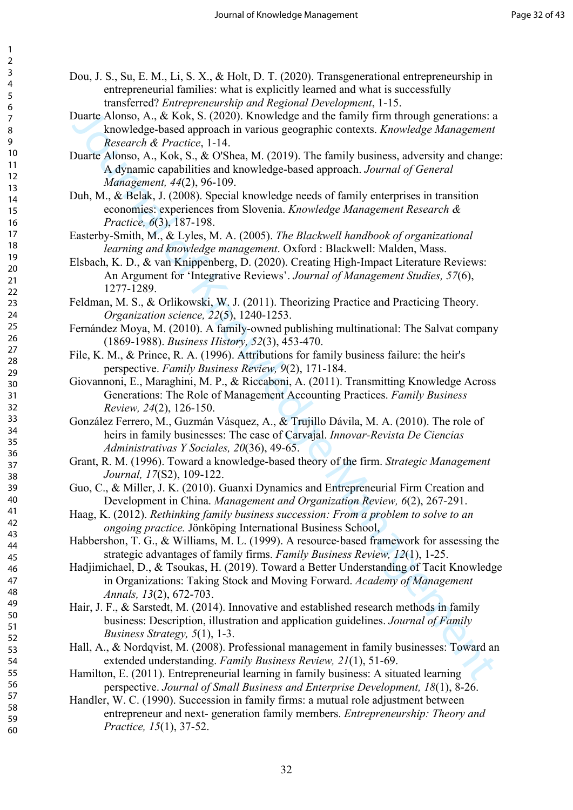- Dou, J. S., Su, E. M., Li, S. X., & Holt, D. T. (2020). Transgenerational entrepreneurship in entrepreneurial families: what is explicitly learned and what is successfully transferred? *Entrepreneurship and Regional Development*, 1-15.
- Duarte Alonso, A., & Kok, S. (2020). Knowledge and the family firm through generations: a knowledge-based approach in various geographic contexts. *Knowledge Management Research & Practice*, 1-14.
- Duarte Alonso, A., Kok, S., & O'Shea, M. (2019). The family business, adversity and change: A dynamic capabilities and knowledge-based approach. *Journal of General Management, 44*(2), 96-109.
- Duh, M., & Belak, J. (2008). Special knowledge needs of family enterprises in transition economies: experiences from Slovenia. *Knowledge Management Research & Practice, 6*(3), 187-198.
- Easterby-Smith, M., & Lyles, M. A. (2005). *The Blackwell handbook of organizational learning and knowledge management*. Oxford : Blackwell: Malden, Mass.
- Elsbach, K. D., & van Knippenberg, D. (2020). Creating High‐Impact Literature Reviews: An Argument for 'Integrative Reviews'. *Journal of Management Studies, 57*(6), 1277-1289.
- Feldman, M. S., & Orlikowski, W. J. (2011). Theorizing Practice and Practicing Theory. *Organization science, 22*(5), 1240-1253.
- Fernández Moya, M. (2010). A family-owned publishing multinational: The Salvat company (1869-1988). *Business History, 52*(3), 453-470.
- File, K. M., & Prince, R. A. (1996). Attributions for family business failure: the heir's perspective. *Family Business Review, 9*(2), 171-184.
- Giovannoni, E., Maraghini, M. P., & Riccaboni, A. (2011). Transmitting Knowledge Across Generations: The Role of Management Accounting Practices. *Family Business Review, 24*(2), 126-150.
- González Ferrero, M., Guzmán Vásquez, A., & Trujillo Dávila, M. A. (2010). The role of heirs in family businesses: The case of Carvajal. *Innovar-Revista De Ciencias Administrativas Y Sociales, 20*(36), 49-65.
- Grant, R. M. (1996). Toward a knowledge-based theory of the firm. *Strategic Management Journal, 17*(S2), 109-122.
- Guo, C., & Miller, J. K. (2010). Guanxi Dynamics and Entrepreneurial Firm Creation and Development in China. *Management and Organization Review, 6*(2), 267-291.
- Haag, K. (2012). *Rethinking family business succession: From a problem to solve to an ongoing practice.* Jönköping International Business School,
- Habbershon, T. G., & Williams, M. L. (1999). A resource-based framework for assessing the strategic advantages of family firms. *Family Business Review, 12*(1), 1-25.
- Duart Alonso, A., & Kok, S. (2020), Knowledge and the furnity from through guerentients.<br> *knowledge* Management Consumer, the analytic contexts. Knowledge Management<br> *knowledge* Management,  $A$ Consum, Management Alonso, Hadjimichael, D., & Tsoukas, H. (2019). Toward a Better Understanding of Tacit Knowledge in Organizations: Taking Stock and Moving Forward. *Academy of Management Annals, 13*(2), 672-703.
- Hair, J. F., & Sarstedt, M. (2014). Innovative and established research methods in family business: Description, illustration and application guidelines. *Journal of Family Business Strategy, 5*(1), 1-3.
- Hall, A., & Nordqvist, M. (2008). Professional management in family businesses: Toward an extended understanding. *Family Business Review, 21*(1), 51-69.
- Hamilton, E. (2011). Entrepreneurial learning in family business: A situated learning perspective. *Journal of Small Business and Enterprise Development, 18*(1), 8-26.
- Handler, W. C. (1990). Succession in family firms: a mutual role adjustment between entrepreneur and next- generation family members. *Entrepreneurship: Theory and Practice, 15*(1), 37-52.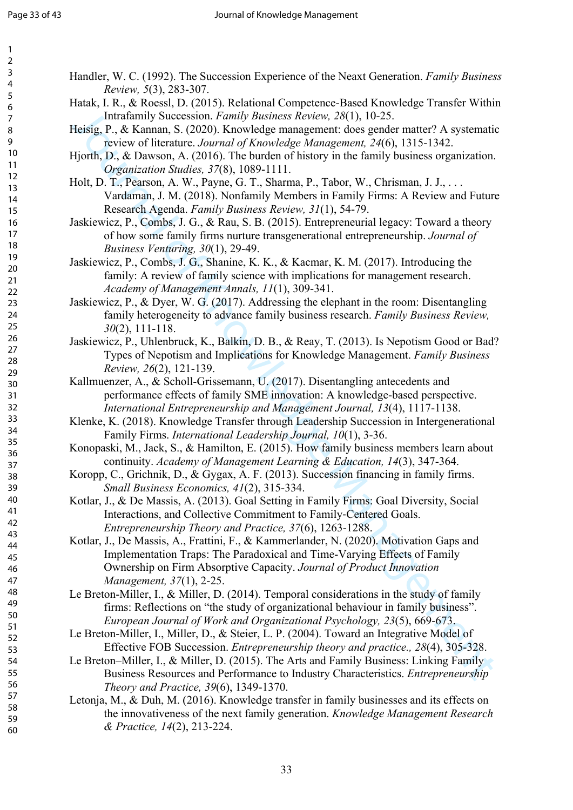| 2                                         |
|-------------------------------------------|
| 3                                         |
| 4                                         |
|                                           |
| 5                                         |
| 6                                         |
|                                           |
|                                           |
| 8                                         |
| $\mathbf$<br>)                            |
| 10                                        |
| 1<br>$\mathbf{1}$                         |
|                                           |
| $\mathbf{1}$<br>C                         |
| 13                                        |
| 1<br>4                                    |
| 15                                        |
|                                           |
| 16                                        |
| 1                                         |
| 18                                        |
| 19                                        |
|                                           |
| 20                                        |
| $\overline{21}$                           |
| $\overline{2}$<br>$\overline{2}$          |
| $\overline{2}$<br>$\overline{\mathbf{3}}$ |
|                                           |
| $\overline{24}$                           |
| 25                                        |
| $\frac{26}{5}$                            |
|                                           |
| $^{27}$                                   |
| 28                                        |
| 29                                        |
| 30                                        |
|                                           |
| $\overline{\textbf{3}}$                   |
| $\overline{\mathbf{3}}$<br>$\overline{2}$ |
| $\overline{\mathbf{3}}$<br>ξ              |
| 3.<br>4                                   |
|                                           |
| 35                                        |
| 36                                        |
| 37                                        |
| 38                                        |
|                                           |
| 39                                        |
| 40                                        |
| 41                                        |
|                                           |
| 42                                        |
| ξ<br>$\overline{4}$                       |
| 44                                        |
| 45                                        |
|                                           |
| 46                                        |
| 47                                        |
| 48                                        |
| 49                                        |
|                                           |
| 50                                        |
| 51                                        |
| 5<br>2                                    |
| 5.<br>ξ                                   |
|                                           |
| 54                                        |
| 55                                        |
| 56                                        |
|                                           |
| 57                                        |
| 58                                        |
| 59                                        |

60

- Handler, W. C. (1992). The Succession Experience of the Neaxt Generation. *Family Business Review, 5*(3), 283-307.
- Hatak, I. R., & Roessl, D. (2015). Relational Competence-Based Knowledge Transfer Within Intrafamily Succession. *Family Business Review, 28*(1), 10-25.
- Heisig, P., & Kannan, S. (2020). Knowledge management: does gender matter? A systematic review of literature. *Journal of Knowledge Management, 24*(6), 1315-1342.
- Hjorth, D., & Dawson, A. (2016). The burden of history in the family business organization. *Organization Studies, 37*(8), 1089-1111.
- Holt, D. T., Pearson, A. W., Payne, G. T., Sharma, P., Tabor, W., Chrisman, J. J., . . . Vardaman, J. M. (2018). Nonfamily Members in Family Firms: A Review and Future Research Agenda. *Family Business Review, 31*(1), 54-79.

Jaskiewicz, P., Combs, J. G., & Rau, S. B. (2015). Entrepreneurial legacy: Toward a theory of how some family firms nurture transgenerational entrepreneurship. *Journal of Business Venturing, 30*(1), 29-49.

Jaskiewicz, P., Combs, J. G., Shanine, K. K., & Kacmar, K. M. (2017). Introducing the family: A review of family science with implications for management research. *Academy of Management Annals, 11*(1), 309-341.

- Jaskiewicz, P., & Dyer, W. G. (2017). Addressing the elephant in the room: Disentangling family heterogeneity to advance family business research. *Family Business Review, 30*(2), 111-118.
- Jaskiewicz, P., Uhlenbruck, K., Balkin, D. B., & Reay, T. (2013). Is Nepotism Good or Bad? Types of Nepotism and Implications for Knowledge Management. *Family Business Review, 26*(2), 121-139.
- Kallmuenzer, A., & Scholl-Grissemann, U. (2017). Disentangling antecedents and performance effects of family SME innovation: A knowledge-based perspective. *International Entrepreneurship and Management Journal, 13*(4), 1117-1138.
- Klenke, K. (2018). Knowledge Transfer through Leadership Succession in Intergenerational Family Firms. *International Leadership Journal, 10*(1), 3-36.
- Konopaski, M., Jack, S., & Hamilton, E. (2015). How family business members learn about continuity. *Academy of Management Learning & Education, 14*(3), 347-364.
- Koropp, C., Grichnik, D., & Gygax, A. F. (2013). Succession financing in family firms. *Small Business Economics, 41*(2), 315-334.

Kotlar, J., & De Massis, A. (2013). Goal Setting in Family Firms: Goal Diversity, Social Interactions, and Collective Commitment to Family‐Centered Goals. *Entrepreneurship Theory and Practice, 37*(6), 1263-1288.

- Institution States (2007),  $\sim$ 35. (1025)<br>
Institution (2007),  $\sim$ 36. (2007),  $\sim$ 36. (2007),  $\sim$ 46. (2007),  $\sim$ 46. (2007),  $\sim$ 46. (2007),  $\sim$ 46. (2016)  $\sim$ 16. (2016)  $\sim$ 16. (2016)  $\sim$ 16. (2016)  $\sim$ 16. (2016)  $\sim$ Kotlar, J., De Massis, A., Frattini, F., & Kammerlander, N. (2020). Motivation Gaps and Implementation Traps: The Paradoxical and Time-Varying Effects of Family Ownership on Firm Absorptive Capacity. *Journal of Product Innovation Management, 37*(1), 2-25.
- Le Breton-Miller, I., & Miller, D. (2014). Temporal considerations in the study of family firms: Reflections on "the study of organizational behaviour in family business". *European Journal of Work and Organizational Psychology, 23*(5), 669-673.
- Le Breton-Miller, I., Miller, D., & Steier, L. P. (2004). Toward an Integrative Model of Effective FOB Succession. *Entrepreneurship theory and practice., 28*(4), 305-328.
- Le Breton–Miller, I., & Miller, D. (2015). The Arts and Family Business: Linking Family Business Resources and Performance to Industry Characteristics. *Entrepreneurship Theory and Practice, 39*(6), 1349-1370.
- Letonja, M., & Duh, M. (2016). Knowledge transfer in family businesses and its effects on the innovativeness of the next family generation. *Knowledge Management Research & Practice, 14*(2), 213-224.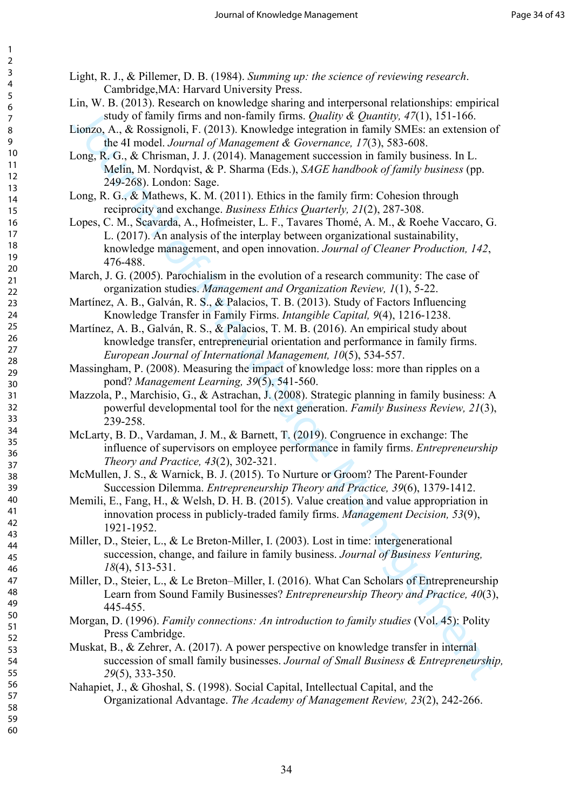60

- Light, R. J., & Pillemer, D. B. (1984). *Summing up: the science of reviewing research*. Cambridge,MA: Harvard University Press.
	- Lin, W. B. (2013). Research on knowledge sharing and interpersonal relationships: empirical study of family firms and non-family firms. *Quality & Quantity, 47*(1), 151-166.
	- Lionzo, A., & Rossignoli, F. (2013). Knowledge integration in family SMEs: an extension of the 4I model. *Journal of Management & Governance, 17*(3), 583-608.
	- Long, R. G., & Chrisman, J. J. (2014). Management succession in family business. In L. Melin, M. Nordqvist, & P. Sharma (Eds.), *SAGE handbook of family business* (pp. 249-268). London: Sage.
	- Long, R. G., & Mathews, K. M. (2011). Ethics in the family firm: Cohesion through reciprocity and exchange. *Business Ethics Quarterly, 21*(2), 287-308.
- Study of fimily firms and one-fimily firms (20<br/>adiative),  $\hat{R}(t)$ ,  $\hat{S}$ 1-166,  $\hat{S}$ 1-166,  $\hat{S}$ 1-166,  $\hat{S}$ 1-166,  $\hat{S}$ 1-166,  $\hat{S}$ 1-166,  $\hat{S}$ 1-166,  $\hat{S}$ 1-166,  $\hat{S}$ 1-166,  $\hat{S}$ 1-166,  $\hat{S}$ 1 Lopes, C. M., Scavarda, A., Hofmeister, L. F., Tavares Thomé, A. M., & Roehe Vaccaro, G. L. (2017). An analysis of the interplay between organizational sustainability, knowledge management, and open innovation. *Journal of Cleaner Production, 142*, 476-488.
- March, J. G. (2005). Parochialism in the evolution of a research community: The case of organization studies. *Management and Organization Review, 1*(1), 5-22.
- Martínez, A. B., Galván, R. S., & Palacios, T. B. (2013). Study of Factors Influencing Knowledge Transfer in Family Firms. *Intangible Capital, 9*(4), 1216-1238.
- Martínez, A. B., Galván, R. S., & Palacios, T. M. B. (2016). An empirical study about knowledge transfer, entrepreneurial orientation and performance in family firms. *European Journal of International Management, 10*(5), 534-557.
- Massingham, P. (2008). Measuring the impact of knowledge loss: more than ripples on a pond? *Management Learning, 39*(5), 541-560.
- Mazzola, P., Marchisio, G., & Astrachan, J. (2008). Strategic planning in family business: A powerful developmental tool for the next generation. *Family Business Review, 21*(3), 239-258.
- McLarty, B. D., Vardaman, J. M., & Barnett, T. (2019). Congruence in exchange: The influence of supervisors on employee performance in family firms. *Entrepreneurship Theory and Practice, 43*(2), 302-321.
- McMullen, J. S., & Warnick, B. J. (2015). To Nurture or Groom? The Parent‐Founder Succession Dilemma. *Entrepreneurship Theory and Practice, 39*(6), 1379-1412.
- Memili, E., Fang, H., & Welsh, D. H. B. (2015). Value creation and value appropriation in innovation process in publicly-traded family firms. *Management Decision, 53*(9), 1921-1952.
- Miller, D., Steier, L., & Le Breton-Miller, I. (2003). Lost in time: intergenerational succession, change, and failure in family business. *Journal of Business Venturing, 18*(4), 513-531.
- Miller, D., Steier, L., & Le Breton–Miller, I. (2016). What Can Scholars of Entrepreneurship Learn from Sound Family Businesses? *Entrepreneurship Theory and Practice, 40*(3), 445-455.
- Morgan, D. (1996). *Family connections: An introduction to family studies* (Vol. 45): Polity Press Cambridge.
- Muskat, B., & Zehrer, A. (2017). A power perspective on knowledge transfer in internal succession of small family businesses. *Journal of Small Business & Entrepreneurship, 29*(5), 333-350.
- Nahapiet, J., & Ghoshal, S. (1998). Social Capital, Intellectual Capital, and the Organizational Advantage. *The Academy of Management Review, 23*(2), 242-266.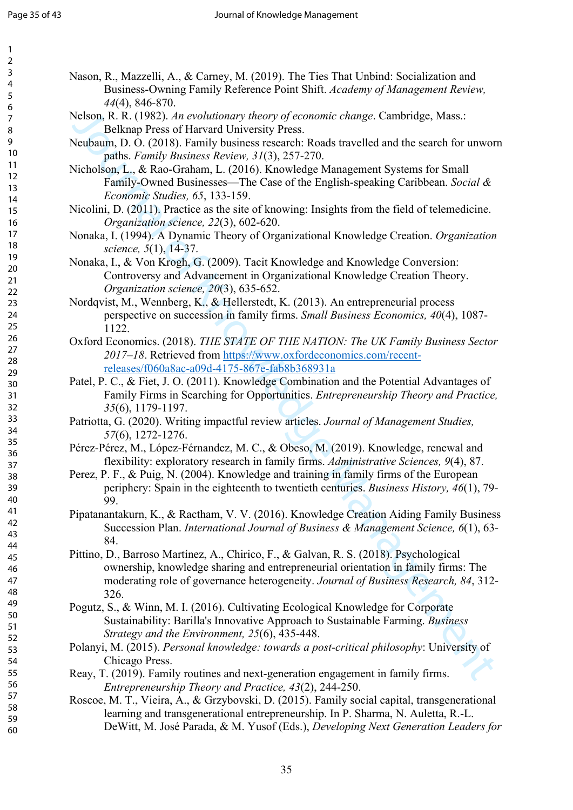| 2                                                    |
|------------------------------------------------------|
| Š                                                    |
|                                                      |
|                                                      |
| $\frac{4}{5}$                                        |
|                                                      |
|                                                      |
| $\frac{7}{3}$                                        |
|                                                      |
| ۔<br>پا                                              |
| ∢                                                    |
| 10                                                   |
| 1<br>1                                               |
|                                                      |
| 1<br>$\overline{2}$                                  |
| $\ddot{\phantom{0}}$<br>$\overline{\mathbf{3}}$<br>1 |
|                                                      |
| $\overline{\mathbf{r}}$<br>1                         |
|                                                      |
|                                                      |
|                                                      |
|                                                      |
|                                                      |
| 15<br>16<br>17<br>18<br>19                           |
| 20                                                   |
|                                                      |
| $\overline{21}$                                      |
| $\overline{2}$<br>$\overline{2}$                     |
| $\overline{2}$                                       |
| 3                                                    |
|                                                      |
|                                                      |
|                                                      |
|                                                      |
|                                                      |
|                                                      |
| 24<br>25<br>26<br>27<br>28                           |
|                                                      |
| 30                                                   |
| $\mathbf{S}$                                         |
| 1                                                    |
| $\overline{2}$<br>$\overline{\mathbf{3}}$            |
| .<br>3<br>$\overline{\mathbf{S}}$                    |
|                                                      |
|                                                      |
|                                                      |
| 34<br>35<br>36<br>37                                 |
|                                                      |
|                                                      |
|                                                      |
| 39                                                   |
|                                                      |
| 40                                                   |
| 41                                                   |
| $\overline{2}$<br>$\overline{4}$                     |
|                                                      |
| ξ<br>4.                                              |
| 44                                                   |
| 4 <sup>t</sup>                                       |
|                                                      |
| 46                                                   |
| $\overline{4}$                                       |
| 48                                                   |
|                                                      |
| 49                                                   |
| 50                                                   |
| $\overline{\mathbf{5}}$                              |
| 1                                                    |
| 5<br>,                                               |
| 5:<br>ξ                                              |
|                                                      |
| 54                                                   |
| 55                                                   |
| 56                                                   |
|                                                      |
| 51                                                   |
| 58                                                   |
| C<br>59                                              |
|                                                      |

- Nason, R., Mazzelli, A., & Carney, M. (2019). The Ties That Unbind: Socialization and Business-Owning Family Reference Point Shift. *Academy of Management Review, 44*(4), 846-870.
- Nelson, R. R. (1982). *An evolutionary theory of economic change*. Cambridge, Mass.: Belknap Press of Harvard University Press.
- Neubaum, D. O. (2018). Family business research: Roads travelled and the search for unworn paths. *Family Business Review, 31*(3), 257-270.
- Nicholson, L., & Rao-Graham, L. (2016). Knowledge Management Systems for Small Family-Owned Businesses—The Case of the English-speaking Caribbean. *Social & Economic Studies, 65*, 133-159.
- Nicolini, D. (2011). Practice as the site of knowing: Insights from the field of telemedicine. *Organization science, 22*(3), 602-620.
- Nonaka, I. (1994). A Dynamic Theory of Organizational Knowledge Creation. *Organization science, 5*(1), 14-37.
- Nonaka, I., & Von Krogh, G. (2009). Tacit Knowledge and Knowledge Conversion: Controversy and Advancement in Organizational Knowledge Creation Theory. *Organization science, 20*(3), 635-652.
- Nordqvist, M., Wennberg, K., & Hellerstedt, K. (2013). An entrepreneurial process perspective on succession in family firms. *Small Business Economics, 40*(4), 1087- 1122.
- Oxford Economics. (2018). *THE STATE OF THE NATION: The UK Family Business Sector 2017–18*. Retrieved from https://www.oxfordeconomics.com/recentreleases/f060a8ac-a09d-4175-867e-fab8b368931a
- Patel, P. C., & Fiet, J. O. (2011). Knowledge Combination and the Potential Advantages of Family Firms in Searching for Opportunities. *Entrepreneurship Theory and Practice, 35*(6), 1179-1197.
- Patriotta, G. (2020). Writing impactful review articles. *Journal of Management Studies, 57*(6), 1272-1276.
- Pérez-Pérez, M., López-Férnandez, M. C., & Obeso, M. (2019). Knowledge, renewal and flexibility: exploratory research in family firms. *Administrative Sciences, 9*(4), 87.
- Perez, P. F., & Puig, N. (2004). Knowledge and training in family firms of the European periphery: Spain in the eighteenth to twentieth centuries. *Business History, 46*(1), 79- 99.
- Pipatanantakurn, K., & Ractham, V. V. (2016). Knowledge Creation Aiding Family Business Succession Plan. *International Journal of Business & Management Science, 6*(1), 63- 84.
- Nelson, R. (1982). An evolutionary theory of economic change. Cambridge, Mass.:<br>
Relican Press of Harvard University Press.<br>
Neutral University Press.<br>
Neutral An external of the search for the search for the search is pa Pittino, D., Barroso Martínez, A., Chirico, F., & Galvan, R. S. (2018). Psychological ownership, knowledge sharing and entrepreneurial orientation in family firms: The moderating role of governance heterogeneity. *Journal of Business Research, 84*, 312- 326.
- Pogutz, S., & Winn, M. I. (2016). Cultivating Ecological Knowledge for Corporate Sustainability: Barilla's Innovative Approach to Sustainable Farming. *Business Strategy and the Environment, 25*(6), 435-448.
- Polanyi, M. (2015). *Personal knowledge: towards a post-critical philosophy*: University of Chicago Press.
- Reay, T. (2019). Family routines and next-generation engagement in family firms. *Entrepreneurship Theory and Practice, 43*(2), 244-250.
- Roscoe, M. T., Vieira, A., & Grzybovski, D. (2015). Family social capital, transgenerational learning and transgenerational entrepreneurship. In P. Sharma, N. Auletta, R.-L. DeWitt, M. José Parada, & M. Yusof (Eds.), *Developing Next Generation Leaders for*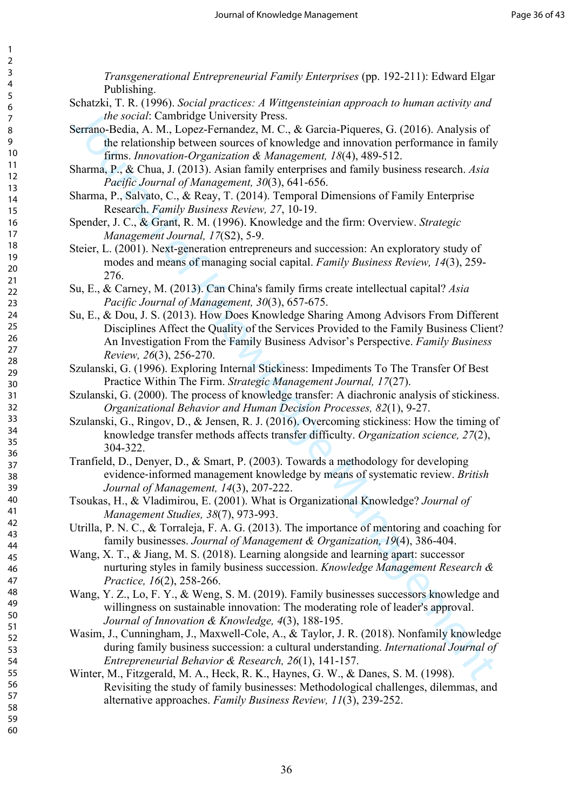*State oroid* Carrinducy University Press.<br>
Seraion-Bedia, A. M., tope-Fermande-, M.C., & García-Piqueres, G; (2016). Analysis of<br>
the relationship between sources of knowledge and innovation performance in Emily<br>
Sharma, *Transgenerational Entrepreneurial Family Enterprises* (pp. 192-211): Edward Elgar Publishing. Schatzki, T. R. (1996). *Social practices: A Wittgensteinian approach to human activity and the social*: Cambridge University Press. Serrano-Bedia, A. M., Lopez-Fernandez, M. C., & Garcia-Piqueres, G. (2016). Analysis of the relationship between sources of knowledge and innovation performance in family firms. *Innovation-Organization & Management, 18*(4), 489-512. Sharma, P., & Chua, J. (2013). Asian family enterprises and family business research. *Asia Pacific Journal of Management, 30*(3), 641-656. Sharma, P., Salvato, C., & Reay, T. (2014). Temporal Dimensions of Family Enterprise Research. *Family Business Review, 27*, 10-19. Spender, J. C., & Grant, R. M. (1996). Knowledge and the firm: Overview. *Strategic Management Journal, 17*(S2), 5-9. Steier, L. (2001). Next-generation entrepreneurs and succession: An exploratory study of modes and means of managing social capital. *Family Business Review, 14*(3), 259- 276. Su, E., & Carney, M. (2013). Can China's family firms create intellectual capital? *Asia Pacific Journal of Management, 30*(3), 657-675. Su, E., & Dou, J. S. (2013). How Does Knowledge Sharing Among Advisors From Different Disciplines Affect the Quality of the Services Provided to the Family Business Client? An Investigation From the Family Business Advisor's Perspective. *Family Business Review, 26*(3), 256-270. Szulanski, G. (1996). Exploring Internal Stickiness: Impediments To The Transfer Of Best Practice Within The Firm. *Strategic Management Journal, 17*(27). Szulanski, G. (2000). The process of knowledge transfer: A diachronic analysis of stickiness. *Organizational Behavior and Human Decision Processes, 82*(1), 9-27. Szulanski, G., Ringov, D., & Jensen, R. J. (2016). Overcoming stickiness: How the timing of knowledge transfer methods affects transfer difficulty. *Organization science, 27*(2), 304-322. Tranfield, D., Denyer, D., & Smart, P. (2003). Towards a methodology for developing evidence‐informed management knowledge by means of systematic review. *British Journal of Management, 14*(3), 207-222. Tsoukas, H., & Vladimirou, E. (2001). What is Organizational Knowledge? *Journal of Management Studies, 38*(7), 973-993. Utrilla, P. N. C., & Torraleja, F. A. G. (2013). The importance of mentoring and coaching for family businesses. *Journal of Management & Organization, 19*(4), 386-404. Wang, X. T., & Jiang, M. S. (2018). Learning alongside and learning apart: successor nurturing styles in family business succession. *Knowledge Management Research & Practice, 16*(2), 258-266. Wang, Y. Z., Lo, F. Y., & Weng, S. M. (2019). Family businesses successors knowledge and willingness on sustainable innovation: The moderating role of leader's approval. *Journal of Innovation & Knowledge, 4*(3), 188-195. Wasim, J., Cunningham, J., Maxwell-Cole, A., & Taylor, J. R. (2018). Nonfamily knowledge during family business succession: a cultural understanding. *International Journal of Entrepreneurial Behavior & Research, 26*(1), 141-157. Winter, M., Fitzgerald, M. A., Heck, R. K., Haynes, G. W., & Danes, S. M. (1998). Revisiting the study of family businesses: Methodological challenges, dilemmas, and

60

36

alternative approaches. *Family Business Review, 11*(3), 239-252.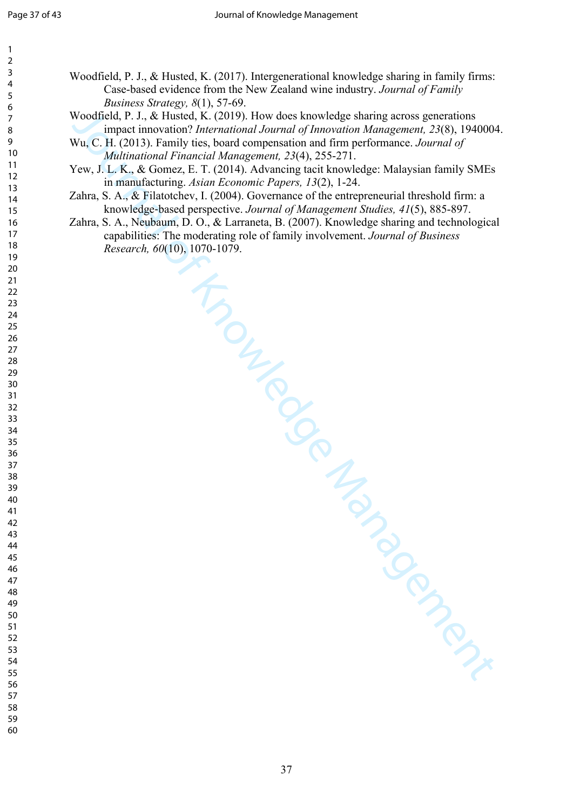| 2                                            |  |
|----------------------------------------------|--|
| Š                                            |  |
|                                              |  |
|                                              |  |
| 456789                                       |  |
|                                              |  |
|                                              |  |
|                                              |  |
|                                              |  |
|                                              |  |
| - 10 11 12 13 14 15 16 17 18 19              |  |
|                                              |  |
|                                              |  |
|                                              |  |
|                                              |  |
|                                              |  |
|                                              |  |
|                                              |  |
|                                              |  |
| $-3456789$                                   |  |
| 19 20 21 22 23 24 25 26 27 28                |  |
|                                              |  |
|                                              |  |
|                                              |  |
|                                              |  |
|                                              |  |
|                                              |  |
|                                              |  |
|                                              |  |
|                                              |  |
| 29<br>30                                     |  |
|                                              |  |
|                                              |  |
|                                              |  |
| 81<br>82<br>83<br>84<br>32<br>33<br>34<br>35 |  |
|                                              |  |
|                                              |  |
|                                              |  |
|                                              |  |
| --<br>36<br>37                               |  |
|                                              |  |
| 39                                           |  |
| 40                                           |  |
| 41                                           |  |
| $\ddot{4}$<br>C                              |  |
| 4.<br>ξ                                      |  |
|                                              |  |
| 44                                           |  |
| 45                                           |  |
| 46                                           |  |
| 4                                            |  |
| 48                                           |  |
| 49                                           |  |
| 50                                           |  |
| $\overline{\mathbf{5}}$<br>1                 |  |
| 5.<br>,                                      |  |
| $\overline{5}$<br>ξ                          |  |
|                                              |  |
| 54                                           |  |
| 55                                           |  |

- Woodfield, P. J., & Husted, K. (2017). Intergenerational knowledge sharing in family firms: Case-based evidence from the New Zealand wine industry. *Journal of Family Business Strategy, 8*(1), 57-69.
- Woodfield, P. J., & Husted, K. (2019). How does knowledge sharing across generations impact innovation? *International Journal of Innovation Management, 23*(8), 1940004.
- Wu, C. H. (2013). Family ties, board compensation and firm performance. *Journal of Multinational Financial Management, 23*(4), 255-271.
- Yew, J. L. K., & Gomez, E. T. (2014). Advancing tacit knowledge: Malaysian family SMEs in manufacturing. *Asian Economic Papers, 13*(2), 1-24.
- Zahra, S. A., & Filatotchev, I. (2004). Governance of the entrepreneurial threshold firm: a knowledge‐based perspective. *Journal of Management Studies, 41*(5), 885-897.
- The Management of Management of Management of Management of Management of Management of Management of Management of Management of Management of Management of Management of Management of Management of Management of Manageme Zahra, S. A., Neubaum, D. O., & Larraneta, B. (2007). Knowledge sharing and technological capabilities: The moderating role of family involvement. *Journal of Business Research, 60*(10), 1070-1079.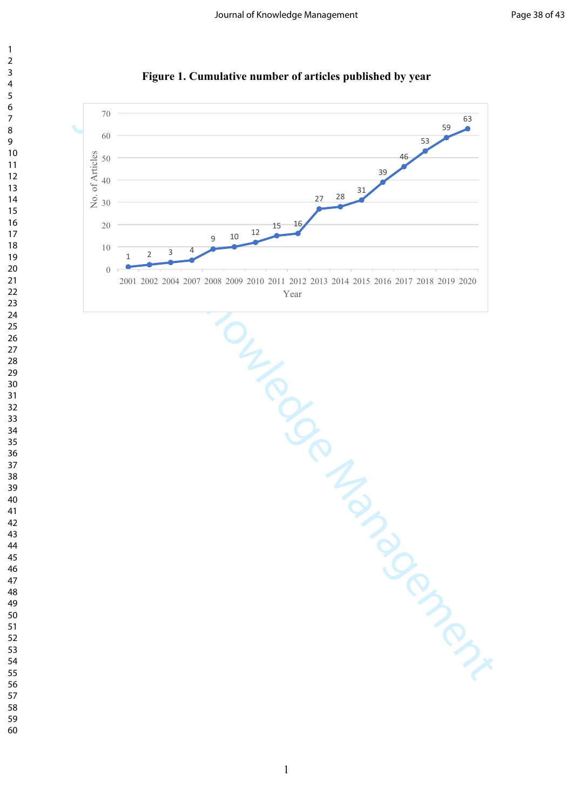

**Figure 1. Cumulative number of articles published by year**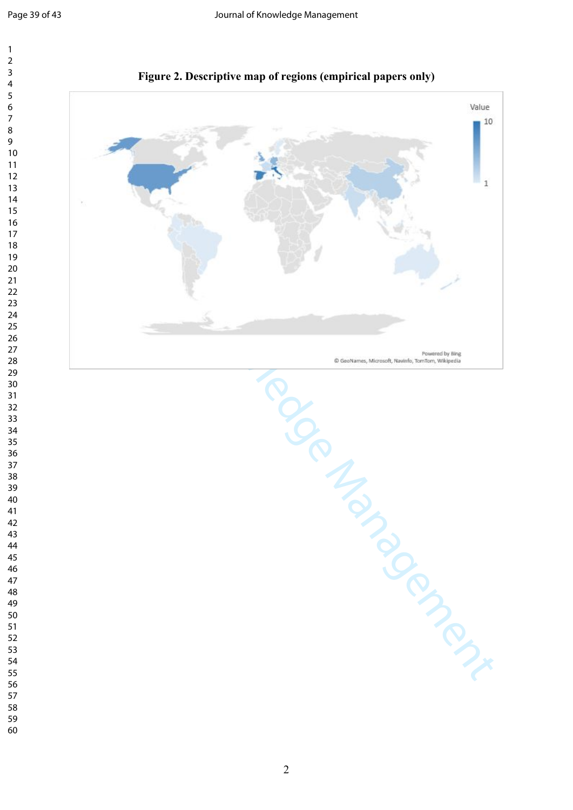

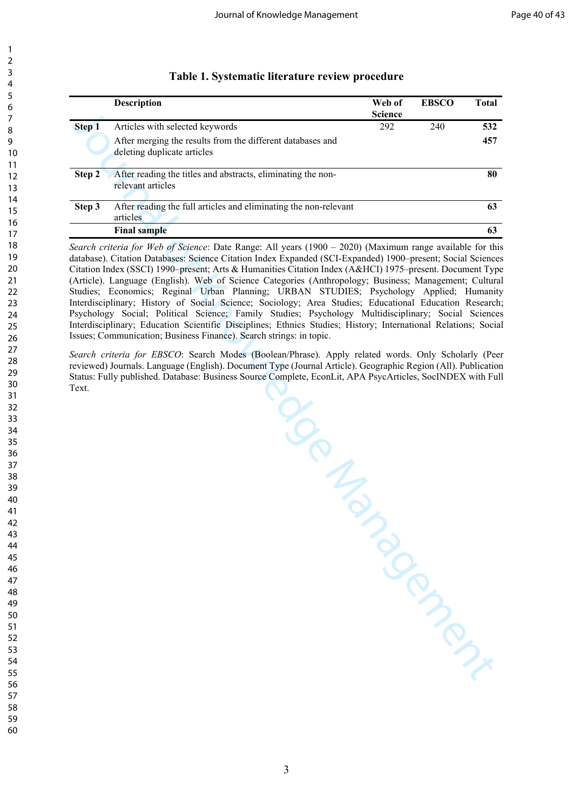| Š                                                    |
|------------------------------------------------------|
| 1                                                    |
|                                                      |
|                                                      |
| 16789                                                |
|                                                      |
|                                                      |
|                                                      |
| 10                                                   |
| 1<br>1                                               |
|                                                      |
| 1<br>$\overline{c}$                                  |
| $\ddot{\phantom{0}}$<br>$\overline{\mathbf{3}}$<br>1 |
|                                                      |
|                                                      |
|                                                      |
|                                                      |
|                                                      |
|                                                      |
| . 14<br>15 16 17 18<br>19 19                         |
| 20                                                   |
| $\overline{21}$                                      |
| $\overline{2}$<br>$\overline{2}$                     |
| $\overline{2}$<br>3                                  |
|                                                      |
|                                                      |
| -<br>24<br>25                                        |
|                                                      |
| --<br>26<br>27<br>28<br>29                           |
|                                                      |
|                                                      |
| 30                                                   |
|                                                      |
| $\overline{\textbf{3}}$                              |
| $\overline{2}$<br>$\overline{\mathbf{3}}$            |
| $\frac{1}{3}$<br>$\overline{\mathbf{3}}$             |
| .<br>34<br>35                                        |
|                                                      |
|                                                      |
| $\frac{36}{1}$<br>36<br>37<br>38                     |
|                                                      |
|                                                      |
| 39                                                   |
| $\mathbf{1}$                                         |
| 41                                                   |
| 42                                                   |
|                                                      |
| 4:<br>ξ                                              |
| 44                                                   |
| 4 <sup>t</sup>                                       |
| 46                                                   |
| $\overline{4}$                                       |
| 48<br>3                                              |
|                                                      |
| 49                                                   |
| 50                                                   |
| $\overline{5}$<br>1                                  |
| 5.<br>,                                              |
| 5:<br>ξ                                              |
| 54                                                   |
| 55                                                   |
|                                                      |
| 56                                                   |
| $\overline{\mathbf{5}}$                              |
| C<br>58<br>₹                                         |

 

#### **Table 1. Systematic literature review procedure**

|        | <b>Description</b>                                                                        | Web of<br><b>Science</b> | <b>EBSCC</b> | Total |
|--------|-------------------------------------------------------------------------------------------|--------------------------|--------------|-------|
| Step 1 | Articles with selected keywords                                                           | 292                      | 240          | 532   |
|        | After merging the results from the different databases and<br>deleting duplicate articles |                          |              | 457   |
| Step 2 | After reading the titles and abstracts, eliminating the non-<br>relevant articles         |                          |              | 80    |
| Step 3 | After reading the full articles and eliminating the non-relevant<br>articles              |                          |              | 63    |
|        | <b>Final sample</b>                                                                       |                          |              | 63    |

*Search criteria for Web of Science*: Date Range: All years (1900 – 2020) (Maximum range available for this database). Citation Databases: Science Citation Index Expanded (SCI-Expanded) 1900–present; Social Sciences Citation Index (SSCI) 1990–present; Arts & Humanities Citation Index (A&HCI) 1975–present. Document Type (Article). Language (English). Web of Science Categories (Anthropology; Business; Management; Cultural Studies; Economics; Reginal Urban Planning; URBAN STUDIES; Psychology Applied; Humanity Interdisciplinary; History of Social Science; Sociology; Area Studies; Educational Education Research; Psychology Social; Political Science; Family Studies; Psychology Multidisciplinary; Social Sciences Interdisciplinary; Education Scientific Disciplines; Ethnics Studies; History; International Relations; Social Issues; Communication; Business Finance). Search strings: in topic.

South Management Report of Management Contractor Contractor Contractor Contractor Contractor Contractor Contractor Contractor Contractor Contractor Contractor Contractor Contractor Contractor Contractor Contractor Contract *Search criteria for EBSCO*: Search Modes (Boolean/Phrase). Apply related words. Only Scholarly (Peer reviewed) Journals. Language (English). Document Type (Journal Article). Geographic Region (All). Publication Status: Fully published. Database: Business Source Complete, EconLit, APA PsycArticles, SocINDEX with Full Text.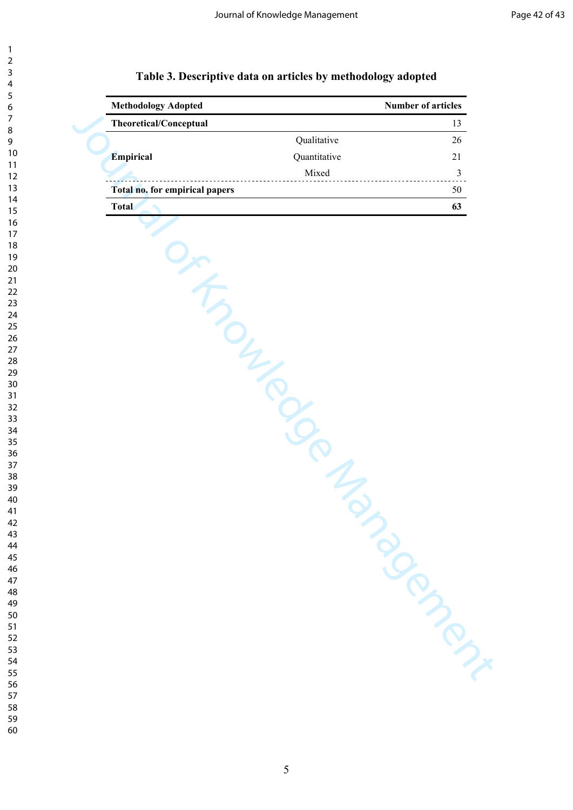| 3                            |   |
|------------------------------|---|
| 4                            |   |
| 5                            |   |
| 6                            |   |
|                              |   |
|                              |   |
| 8                            |   |
| )<br>¢                       |   |
| 10                           |   |
| 1<br>$\mathbf{1}$            |   |
| 1<br>$\mathcal{P}$           |   |
| $\mathbf{1}$                 | 3 |
| $\mathbf{1}$<br>4            |   |
|                              |   |
| 15                           |   |
| 16                           |   |
| 17                           |   |
| 18                           |   |
| 19                           |   |
| 20                           |   |
| $\overline{21}$              |   |
|                              |   |
| $\overline{2}$<br>2          |   |
| $\overline{2}$               | z |
| $\frac{24}{3}$               |   |
| 25                           |   |
| 26                           |   |
| 27                           |   |
| 28                           |   |
|                              |   |
| 29                           |   |
| 30                           |   |
| $\overline{\textbf{3}}$      |   |
| 3<br>2                       |   |
| $\overline{\mathbf{3}}$<br>ξ |   |
| 34                           |   |
| 35                           |   |
|                              |   |
| 36                           |   |
| 37                           |   |
| 38                           |   |
| 39                           |   |
| 1ſ                           | ١ |
| 41                           |   |
| 42                           |   |
| z                            |   |
| $\overline{\mathbf{r}}$      |   |
| 44                           |   |
| 45                           |   |
| 46                           |   |
| 47                           |   |
| 48                           |   |
| 49                           |   |
|                              |   |
| L<br>50                      |   |
| $\frac{1}{2}$                |   |
| c<br>5<br>$\overline{c}$     |   |
| 5.<br>ξ                      |   |
| 54                           |   |
| 55                           |   |
|                              |   |

 

# **Table 3. Descriptive data on articles by methodology adopted**

| <b>Methodology Adopted</b>           |              | Number of articles |
|--------------------------------------|--------------|--------------------|
| Theoretical/Conceptual               |              | 13                 |
|                                      | Qualitative  | 26                 |
| Empirical                            | Quantitative | 21                 |
| ------------------------------------ | Mixed        | $\mathfrak{Z}$     |
| Total no. for empirical papers       |              | 50                 |
| <b>Total</b>                         |              | 63                 |
| IT TON BOOM                          | in M         | <b>PRIMPTION</b>   |